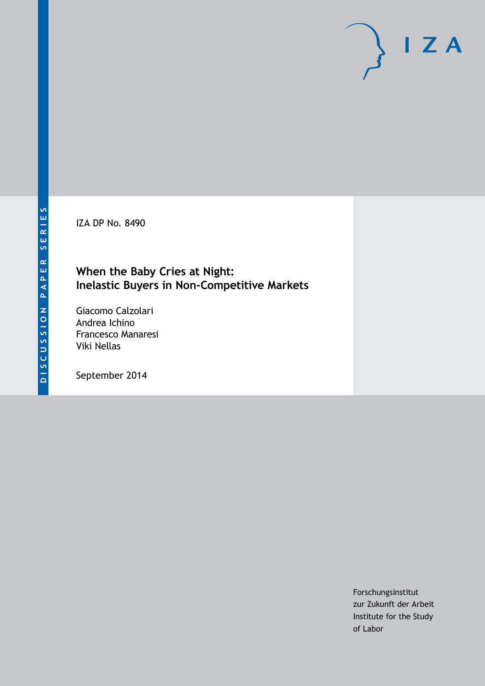IZA DP No. 8490

## **When the Baby Cries at Night: Inelastic Buyers in Non-Competitive Markets**

Giacomo Calzolari Andrea Ichino Francesco Manaresi Viki Nellas

September 2014

Forschungsinstitut zur Zukunft der Arbeit Institute for the Study of Labor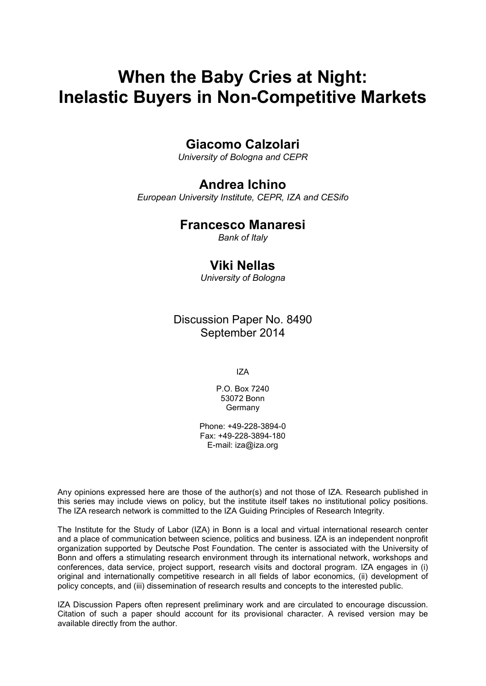## **When the Baby Cries at Night: Inelastic Buyers in Non-Competitive Markets**

## **Giacomo Calzolari**

*University of Bologna and CEPR*

### **Andrea Ichino**

*European University Institute, CEPR, IZA and CESifo*

#### **Francesco Manaresi**

*Bank of Italy*

## **Viki Nellas**

*University of Bologna*

### Discussion Paper No. 8490 September 2014

IZA

P.O. Box 7240 53072 Bonn Germany

Phone: +49-228-3894-0 Fax: +49-228-3894-180 E-mail: [iza@iza.org](mailto:iza@iza.org)

Any opinions expressed here are those of the author(s) and not those of IZA. Research published in this series may include views on policy, but the institute itself takes no institutional policy positions. The IZA research network is committed to the IZA Guiding Principles of Research Integrity.

The Institute for the Study of Labor (IZA) in Bonn is a local and virtual international research center and a place of communication between science, politics and business. IZA is an independent nonprofit organization supported by Deutsche Post Foundation. The center is associated with the University of Bonn and offers a stimulating research environment through its international network, workshops and conferences, data service, project support, research visits and doctoral program. IZA engages in (i) original and internationally competitive research in all fields of labor economics, (ii) development of policy concepts, and (iii) dissemination of research results and concepts to the interested public.

IZA Discussion Papers often represent preliminary work and are circulated to encourage discussion. Citation of such a paper should account for its provisional character. A revised version may be available directly from the author.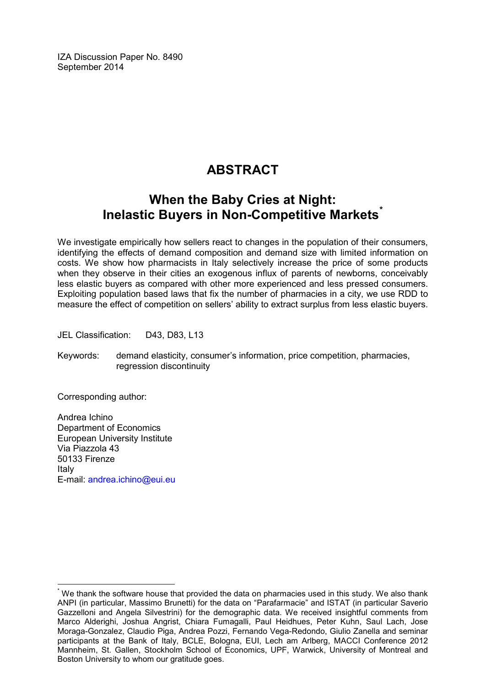IZA Discussion Paper No. 8490 September 2014

## **ABSTRACT**

## **When the Baby Cries at Night: Inelastic Buyers in Non-Competitive Markets[\\*](#page-2-0)**

We investigate empirically how sellers react to changes in the population of their consumers, identifying the effects of demand composition and demand size with limited information on costs. We show how pharmacists in Italy selectively increase the price of some products when they observe in their cities an exogenous influx of parents of newborns, conceivably less elastic buyers as compared with other more experienced and less pressed consumers. Exploiting population based laws that fix the number of pharmacies in a city, we use RDD to measure the effect of competition on sellers' ability to extract surplus from less elastic buyers.

JEL Classification: D43, D83, L13

Keywords: demand elasticity, consumer's information, price competition, pharmacies, regression discontinuity

Corresponding author:

Andrea Ichino Department of Economics European University Institute Via Piazzola 43 50133 Firenze Italy E-mail: [andrea.ichino@eui.eu](mailto:andrea.ichino@eui.eu)

<span id="page-2-0"></span>We thank the software house that provided the data on pharmacies used in this study. We also thank ANPI (in particular, Massimo Brunetti) for the data on "Parafarmacie" and ISTAT (in particular Saverio Gazzelloni and Angela Silvestrini) for the demographic data. We received insightful comments from Marco Alderighi, Joshua Angrist, Chiara Fumagalli, Paul Heidhues, Peter Kuhn, Saul Lach, Jose Moraga-Gonzalez, Claudio Piga, Andrea Pozzi, Fernando Vega-Redondo, Giulio Zanella and seminar participants at the Bank of Italy, BCLE, Bologna, EUI, Lech am Arlberg, MACCI Conference 2012 Mannheim, St. Gallen, Stockholm School of Economics, UPF, Warwick, University of Montreal and Boston University to whom our gratitude goes.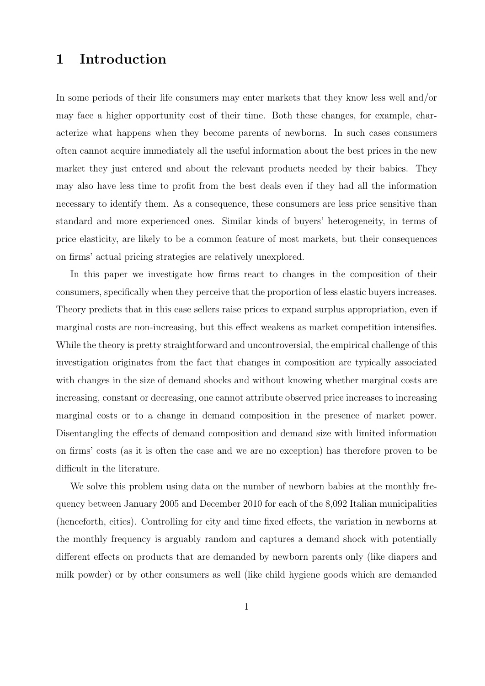## 1 Introduction

In some periods of their life consumers may enter markets that they know less well and/or may face a higher opportunity cost of their time. Both these changes, for example, characterize what happens when they become parents of newborns. In such cases consumers often cannot acquire immediately all the useful information about the best prices in the new market they just entered and about the relevant products needed by their babies. They may also have less time to profit from the best deals even if they had all the information necessary to identify them. As a consequence, these consumers are less price sensitive than standard and more experienced ones. Similar kinds of buyers' heterogeneity, in terms of price elasticity, are likely to be a common feature of most markets, but their consequences on firms' actual pricing strategies are relatively unexplored.

In this paper we investigate how firms react to changes in the composition of their consumers, specifically when they perceive that the proportion of less elastic buyers increases. Theory predicts that in this case sellers raise prices to expand surplus appropriation, even if marginal costs are non-increasing, but this effect weakens as market competition intensifies. While the theory is pretty straightforward and uncontroversial, the empirical challenge of this investigation originates from the fact that changes in composition are typically associated with changes in the size of demand shocks and without knowing whether marginal costs are increasing, constant or decreasing, one cannot attribute observed price increases to increasing marginal costs or to a change in demand composition in the presence of market power. Disentangling the effects of demand composition and demand size with limited information on firms' costs (as it is often the case and we are no exception) has therefore proven to be difficult in the literature.

We solve this problem using data on the number of newborn babies at the monthly frequency between January 2005 and December 2010 for each of the 8,092 Italian municipalities (henceforth, cities). Controlling for city and time fixed effects, the variation in newborns at the monthly frequency is arguably random and captures a demand shock with potentially different effects on products that are demanded by newborn parents only (like diapers and milk powder) or by other consumers as well (like child hygiene goods which are demanded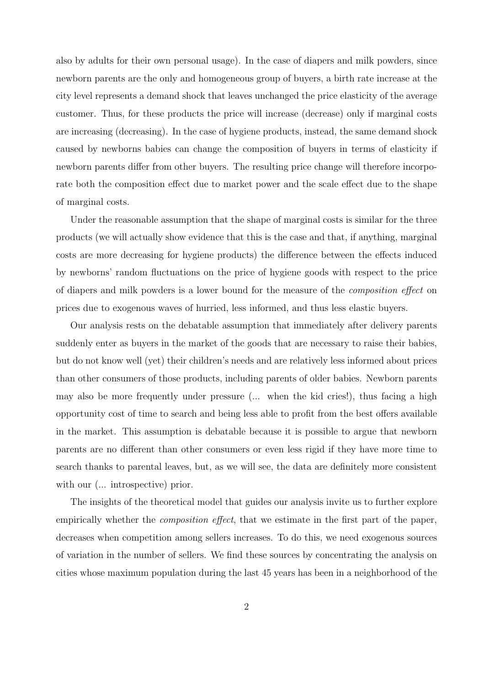also by adults for their own personal usage). In the case of diapers and milk powders, since newborn parents are the only and homogeneous group of buyers, a birth rate increase at the city level represents a demand shock that leaves unchanged the price elasticity of the average customer. Thus, for these products the price will increase (decrease) only if marginal costs are increasing (decreasing). In the case of hygiene products, instead, the same demand shock caused by newborns babies can change the composition of buyers in terms of elasticity if newborn parents differ from other buyers. The resulting price change will therefore incorporate both the composition effect due to market power and the scale effect due to the shape of marginal costs.

Under the reasonable assumption that the shape of marginal costs is similar for the three products (we will actually show evidence that this is the case and that, if anything, marginal costs are more decreasing for hygiene products) the difference between the effects induced by newborns' random fluctuations on the price of hygiene goods with respect to the price of diapers and milk powders is a lower bound for the measure of the composition effect on prices due to exogenous waves of hurried, less informed, and thus less elastic buyers.

Our analysis rests on the debatable assumption that immediately after delivery parents suddenly enter as buyers in the market of the goods that are necessary to raise their babies, but do not know well (yet) their children's needs and are relatively less informed about prices than other consumers of those products, including parents of older babies. Newborn parents may also be more frequently under pressure (... when the kid cries!), thus facing a high opportunity cost of time to search and being less able to profit from the best offers available in the market. This assumption is debatable because it is possible to argue that newborn parents are no different than other consumers or even less rigid if they have more time to search thanks to parental leaves, but, as we will see, the data are definitely more consistent with our  $(\dots)$  introspective) prior.

The insights of the theoretical model that guides our analysis invite us to further explore empirically whether the *composition effect*, that we estimate in the first part of the paper, decreases when competition among sellers increases. To do this, we need exogenous sources of variation in the number of sellers. We find these sources by concentrating the analysis on cities whose maximum population during the last 45 years has been in a neighborhood of the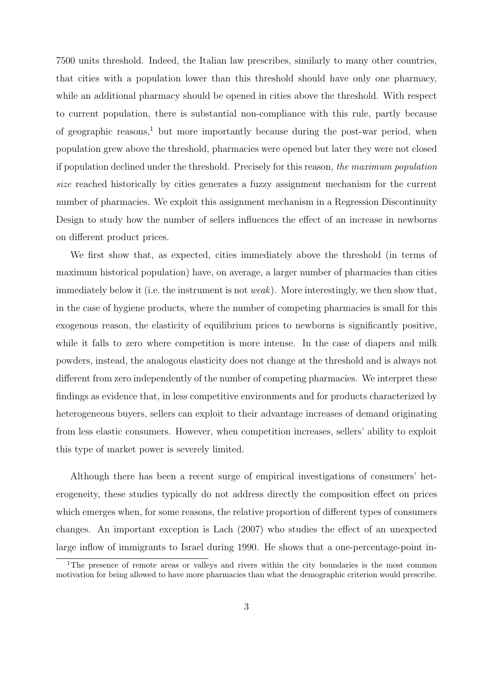7500 units threshold. Indeed, the Italian law prescribes, similarly to many other countries, that cities with a population lower than this threshold should have only one pharmacy, while an additional pharmacy should be opened in cities above the threshold. With respect to current population, there is substantial non-compliance with this rule, partly because of geographic reasons,<sup>1</sup> but more importantly because during the post-war period, when population grew above the threshold, pharmacies were opened but later they were not closed if population declined under the threshold. Precisely for this reason, the maximum population size reached historically by cities generates a fuzzy assignment mechanism for the current number of pharmacies. We exploit this assignment mechanism in a Regression Discontinuity Design to study how the number of sellers influences the effect of an increase in newborns on different product prices.

We first show that, as expected, cities immediately above the threshold (in terms of maximum historical population) have, on average, a larger number of pharmacies than cities immediately below it (i.e. the instrument is not *weak*). More interestingly, we then show that, in the case of hygiene products, where the number of competing pharmacies is small for this exogenous reason, the elasticity of equilibrium prices to newborns is significantly positive, while it falls to zero where competition is more intense. In the case of diapers and milk powders, instead, the analogous elasticity does not change at the threshold and is always not different from zero independently of the number of competing pharmacies. We interpret these findings as evidence that, in less competitive environments and for products characterized by heterogeneous buyers, sellers can exploit to their advantage increases of demand originating from less elastic consumers. However, when competition increases, sellers' ability to exploit this type of market power is severely limited.

Although there has been a recent surge of empirical investigations of consumers' heterogeneity, these studies typically do not address directly the composition effect on prices which emerges when, for some reasons, the relative proportion of different types of consumers changes. An important exception is Lach (2007) who studies the effect of an unexpected large inflow of immigrants to Israel during 1990. He shows that a one-percentage-point in-

<sup>&</sup>lt;sup>1</sup>The presence of remote areas or valleys and rivers within the city boundaries is the most common motivation for being allowed to have more pharmacies than what the demographic criterion would prescribe.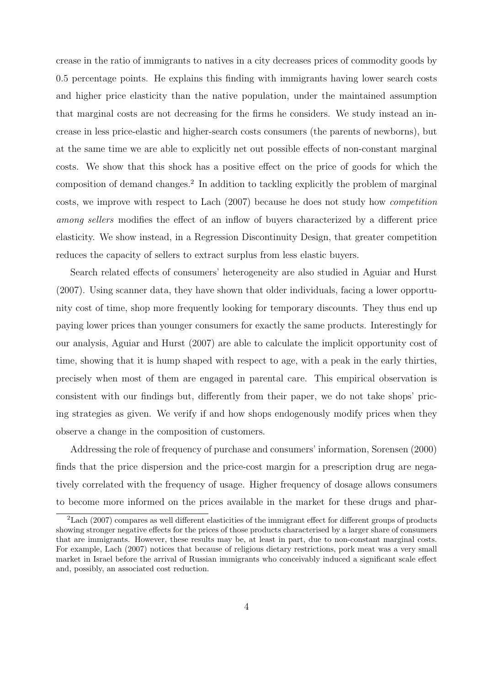crease in the ratio of immigrants to natives in a city decreases prices of commodity goods by 0.5 percentage points. He explains this finding with immigrants having lower search costs and higher price elasticity than the native population, under the maintained assumption that marginal costs are not decreasing for the firms he considers. We study instead an increase in less price-elastic and higher-search costs consumers (the parents of newborns), but at the same time we are able to explicitly net out possible effects of non-constant marginal costs. We show that this shock has a positive effect on the price of goods for which the composition of demand changes.<sup>2</sup> In addition to tackling explicitly the problem of marginal costs, we improve with respect to Lach (2007) because he does not study how competition among sellers modifies the effect of an inflow of buyers characterized by a different price elasticity. We show instead, in a Regression Discontinuity Design, that greater competition reduces the capacity of sellers to extract surplus from less elastic buyers.

Search related effects of consumers' heterogeneity are also studied in Aguiar and Hurst (2007). Using scanner data, they have shown that older individuals, facing a lower opportunity cost of time, shop more frequently looking for temporary discounts. They thus end up paying lower prices than younger consumers for exactly the same products. Interestingly for our analysis, Aguiar and Hurst (2007) are able to calculate the implicit opportunity cost of time, showing that it is hump shaped with respect to age, with a peak in the early thirties, precisely when most of them are engaged in parental care. This empirical observation is consistent with our findings but, differently from their paper, we do not take shops' pricing strategies as given. We verify if and how shops endogenously modify prices when they observe a change in the composition of customers.

Addressing the role of frequency of purchase and consumers' information, Sorensen (2000) finds that the price dispersion and the price-cost margin for a prescription drug are negatively correlated with the frequency of usage. Higher frequency of dosage allows consumers to become more informed on the prices available in the market for these drugs and phar-

<sup>2</sup>Lach (2007) compares as well different elasticities of the immigrant effect for different groups of products showing stronger negative effects for the prices of those products characterised by a larger share of consumers that are immigrants. However, these results may be, at least in part, due to non-constant marginal costs. For example, Lach (2007) notices that because of religious dietary restrictions, pork meat was a very small market in Israel before the arrival of Russian immigrants who conceivably induced a significant scale effect and, possibly, an associated cost reduction.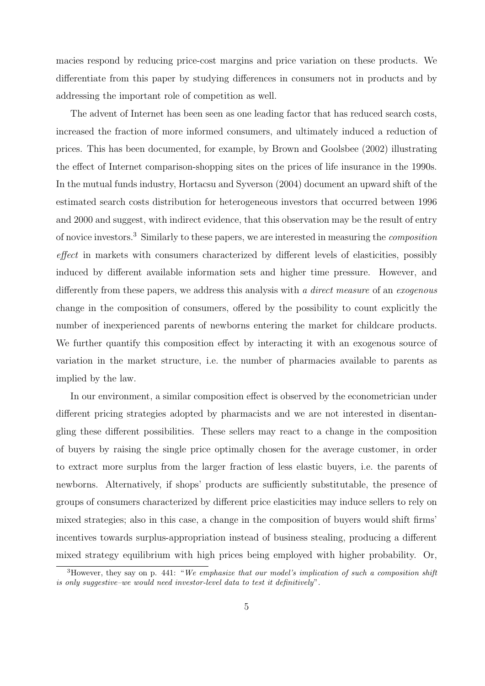macies respond by reducing price-cost margins and price variation on these products. We differentiate from this paper by studying differences in consumers not in products and by addressing the important role of competition as well.

The advent of Internet has been seen as one leading factor that has reduced search costs, increased the fraction of more informed consumers, and ultimately induced a reduction of prices. This has been documented, for example, by Brown and Goolsbee (2002) illustrating the effect of Internet comparison-shopping sites on the prices of life insurance in the 1990s. In the mutual funds industry, Hortacsu and Syverson (2004) document an upward shift of the estimated search costs distribution for heterogeneous investors that occurred between 1996 and 2000 and suggest, with indirect evidence, that this observation may be the result of entry of novice investors.<sup>3</sup> Similarly to these papers, we are interested in measuring the composition effect in markets with consumers characterized by different levels of elasticities, possibly induced by different available information sets and higher time pressure. However, and differently from these papers, we address this analysis with a *direct measure* of an *exogenous* change in the composition of consumers, offered by the possibility to count explicitly the number of inexperienced parents of newborns entering the market for childcare products. We further quantify this composition effect by interacting it with an exogenous source of variation in the market structure, i.e. the number of pharmacies available to parents as implied by the law.

In our environment, a similar composition effect is observed by the econometrician under different pricing strategies adopted by pharmacists and we are not interested in disentangling these different possibilities. These sellers may react to a change in the composition of buyers by raising the single price optimally chosen for the average customer, in order to extract more surplus from the larger fraction of less elastic buyers, i.e. the parents of newborns. Alternatively, if shops' products are sufficiently substitutable, the presence of groups of consumers characterized by different price elasticities may induce sellers to rely on mixed strategies; also in this case, a change in the composition of buyers would shift firms' incentives towards surplus-appropriation instead of business stealing, producing a different mixed strategy equilibrium with high prices being employed with higher probability. Or,

<sup>&</sup>lt;sup>3</sup>However, they say on p. 441: "We emphasize that our model's implication of such a composition shift is only suggestive–we would need investor-level data to test it definitively".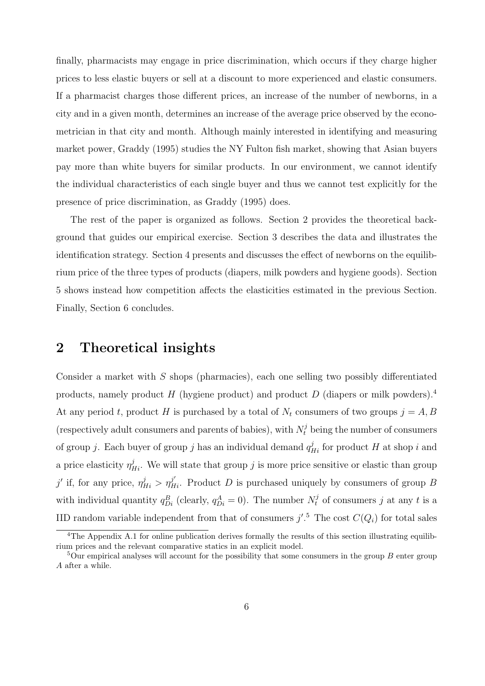finally, pharmacists may engage in price discrimination, which occurs if they charge higher prices to less elastic buyers or sell at a discount to more experienced and elastic consumers. If a pharmacist charges those different prices, an increase of the number of newborns, in a city and in a given month, determines an increase of the average price observed by the econometrician in that city and month. Although mainly interested in identifying and measuring market power, Graddy (1995) studies the NY Fulton fish market, showing that Asian buyers pay more than white buyers for similar products. In our environment, we cannot identify the individual characteristics of each single buyer and thus we cannot test explicitly for the presence of price discrimination, as Graddy (1995) does.

The rest of the paper is organized as follows. Section 2 provides the theoretical background that guides our empirical exercise. Section 3 describes the data and illustrates the identification strategy. Section 4 presents and discusses the effect of newborns on the equilibrium price of the three types of products (diapers, milk powders and hygiene goods). Section 5 shows instead how competition affects the elasticities estimated in the previous Section. Finally, Section 6 concludes.

### 2 Theoretical insights

Consider a market with S shops (pharmacies), each one selling two possibly differentiated products, namely product H (hygiene product) and product D (diapers or milk powders).<sup>4</sup> At any period t, product H is purchased by a total of  $N_t$  consumers of two groups  $j = A, B$ (respectively adult consumers and parents of babies), with  $N_t^j$  being the number of consumers of group j. Each buyer of group j has an individual demand  $q_{Hi}^j$  for product H at shop i and a price elasticity  $\eta_{Hi}^j$ . We will state that group j is more price sensitive or elastic than group j' if, for any price,  $\eta_{Hi}^{j} > \eta_{Hi}^{j'}$ . Product D is purchased uniquely by consumers of group B with individual quantity  $q_{Di}^B$  (clearly,  $q_{Di}^A = 0$ ). The number  $N_t^j$  of consumers j at any t is a IID random variable independent from that of consumers  $j'.^5$  The cost  $C(Q_i)$  for total sales

<sup>&</sup>lt;sup>4</sup>The Appendix A.1 for online publication derives formally the results of this section illustrating equilibrium prices and the relevant comparative statics in an explicit model.

 $5$ Our empirical analyses will account for the possibility that some consumers in the group B enter group A after a while.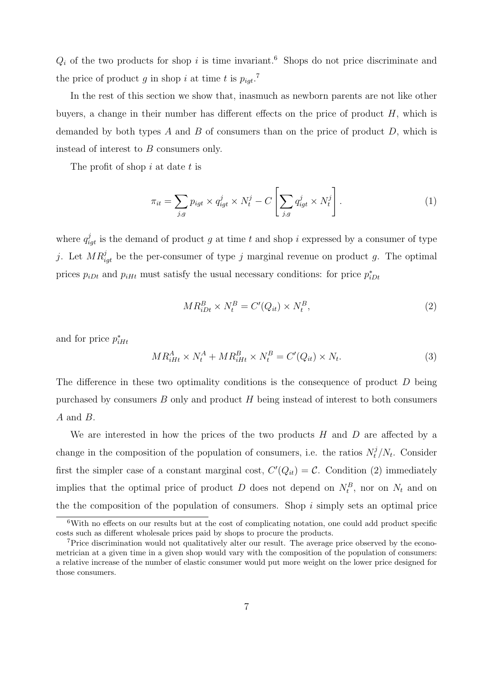$Q_i$  of the two products for shop i is time invariant.<sup>6</sup> Shops do not price discriminate and the price of product g in shop i at time t is  $p_{igt}$ <sup>7</sup>

In the rest of this section we show that, inasmuch as newborn parents are not like other buyers, a change in their number has different effects on the price of product  $H$ , which is demanded by both types A and B of consumers than on the price of product  $D$ , which is instead of interest to B consumers only.

The profit of shop  $i$  at date  $t$  is

$$
\pi_{it} = \sum_{j,g} p_{igt} \times q_{igt}^j \times N_t^j - C \left[ \sum_{j,g} q_{igt}^j \times N_t^j \right]. \tag{1}
$$

where  $q_{igt}^{j}$  is the demand of product g at time t and shop i expressed by a consumer of type j. Let  $MR_{igt}^j$  be the per-consumer of type j marginal revenue on product g. The optimal prices  $p_{iDt}$  and  $p_{iHt}$  must satisfy the usual necessary conditions: for price  $p_{iDt}^*$ 

$$
MR_{iDt}^B \times N_t^B = C'(Q_{it}) \times N_t^B,
$$
\n<sup>(2)</sup>

and for price  $p_{iHt}^*$ 

$$
MR_{iHt}^{A} \times N_{t}^{A} + MR_{iHt}^{B} \times N_{t}^{B} = C'(Q_{it}) \times N_{t}.
$$
\n
$$
(3)
$$

The difference in these two optimality conditions is the consequence of product D being purchased by consumers  $B$  only and product  $H$  being instead of interest to both consumers A and B.

We are interested in how the prices of the two products  $H$  and  $D$  are affected by a change in the composition of the population of consumers, i.e. the ratios  $N_t^j/N_t$ . Consider first the simpler case of a constant marginal cost,  $C'(Q_{it}) = C$ . Condition (2) immediately implies that the optimal price of product D does not depend on  $N_t^B$ , nor on  $N_t$  and on the the composition of the population of consumers. Shop  $i$  simply sets an optimal price

 $6$ With no effects on our results but at the cost of complicating notation, one could add product specific costs such as different wholesale prices paid by shops to procure the products.

<sup>7</sup>Price discrimination would not qualitatively alter our result. The average price observed by the econometrician at a given time in a given shop would vary with the composition of the population of consumers: a relative increase of the number of elastic consumer would put more weight on the lower price designed for those consumers.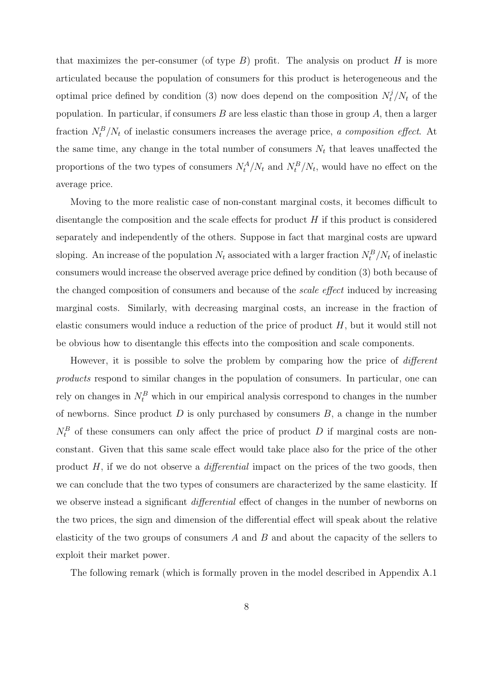that maximizes the per-consumer (of type  $B$ ) profit. The analysis on product  $H$  is more articulated because the population of consumers for this product is heterogeneous and the optimal price defined by condition (3) now does depend on the composition  $N_t^j/N_t$  of the population. In particular, if consumers  $B$  are less elastic than those in group  $A$ , then a larger fraction  $N_t^B/N_t$  of inelastic consumers increases the average price, a composition effect. At the same time, any change in the total number of consumers  $N_t$  that leaves unaffected the proportions of the two types of consumers  $N_t^A/N_t$  and  $N_t^B/N_t$ , would have no effect on the average price.

Moving to the more realistic case of non-constant marginal costs, it becomes difficult to disentangle the composition and the scale effects for product  $H$  if this product is considered separately and independently of the others. Suppose in fact that marginal costs are upward sloping. An increase of the population  $N_t$  associated with a larger fraction  $N_t^B/N_t$  of inelastic consumers would increase the observed average price defined by condition (3) both because of the changed composition of consumers and because of the *scale effect* induced by increasing marginal costs. Similarly, with decreasing marginal costs, an increase in the fraction of elastic consumers would induce a reduction of the price of product  $H$ , but it would still not be obvious how to disentangle this effects into the composition and scale components.

However, it is possible to solve the problem by comparing how the price of different products respond to similar changes in the population of consumers. In particular, one can rely on changes in  $N_t^B$  which in our empirical analysis correspond to changes in the number of newborns. Since product  $D$  is only purchased by consumers  $B$ , a change in the number  $N_t^B$  of these consumers can only affect the price of product D if marginal costs are nonconstant. Given that this same scale effect would take place also for the price of the other product  $H$ , if we do not observe a *differential* impact on the prices of the two goods, then we can conclude that the two types of consumers are characterized by the same elasticity. If we observe instead a significant *differential* effect of changes in the number of newborns on the two prices, the sign and dimension of the differential effect will speak about the relative elasticity of the two groups of consumers  $A$  and  $B$  and about the capacity of the sellers to exploit their market power.

The following remark (which is formally proven in the model described in Appendix A.1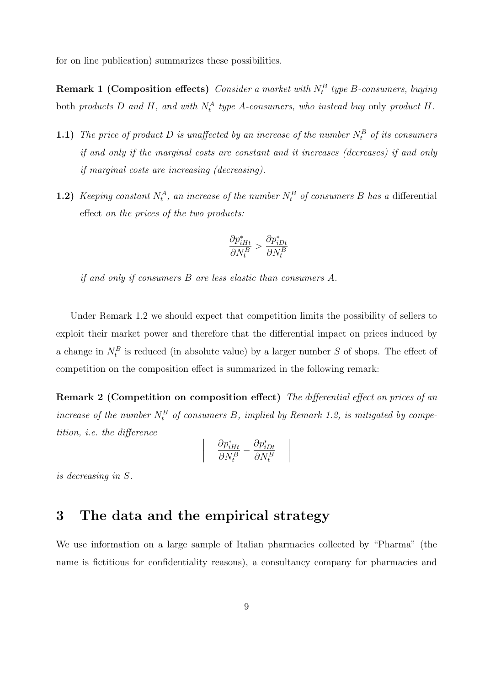for on line publication) summarizes these possibilities.

**Remark 1 (Composition effects)** Consider a market with  $N_t^B$  type B-consumers, buying both products D and H, and with  $N_t^A$  type A-consumers, who instead buy only product H.

- **1.1)** The price of product D is unaffected by an increase of the number  $N_t^B$  of its consumers if and only if the marginal costs are constant and it increases (decreases) if and only if marginal costs are increasing (decreasing).
- **1.2)** Keeping constant  $N_t^A$ , an increase of the number  $N_t^B$  of consumers B has a differential effect on the prices of the two products:

$$
\frac{\partial p^{*}_{iHt}}{\partial N^{B}_{t}}>\frac{\partial p^{*}_{iDt}}{\partial N^{B}_{t}}
$$

if and only if consumers B are less elastic than consumers A.

Under Remark 1.2 we should expect that competition limits the possibility of sellers to exploit their market power and therefore that the differential impact on prices induced by a change in  $N_t^B$  is reduced (in absolute value) by a larger number S of shops. The effect of competition on the composition effect is summarized in the following remark:

Remark 2 (Competition on composition effect) The differential effect on prices of an increase of the number  $N_t^B$  of consumers B, implied by Remark 1.2, is mitigated by competition, i.e. the difference

$$
\frac{\partial p^{*}_{iHt}}{\partial N^{B}_{t}} - \frac{\partial p^{*}_{iDt}}{\partial N^{B}_{t}}
$$

 $\overline{\phantom{a}}$  $\bigg\}$  $\bigg\}$  $\overline{\phantom{a}}$ 

is decreasing in S.

## 3 The data and the empirical strategy

 $\bigg\}$  $\bigg\}$  $\bigg\}$  $\vert$ 

We use information on a large sample of Italian pharmacies collected by "Pharma" (the name is fictitious for confidentiality reasons), a consultancy company for pharmacies and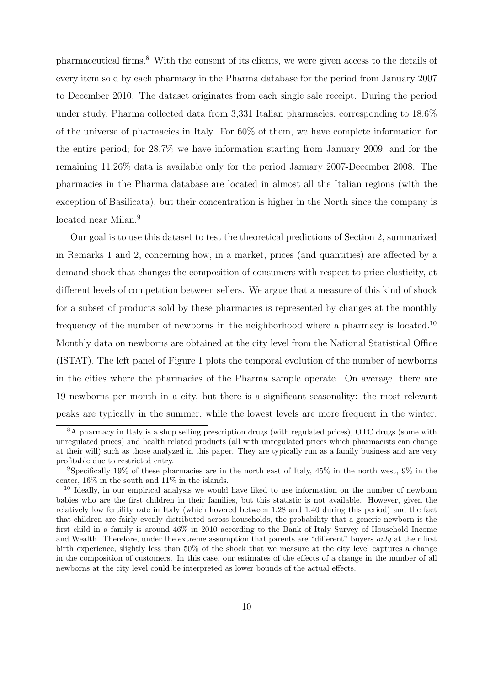pharmaceutical firms.<sup>8</sup> With the consent of its clients, we were given access to the details of every item sold by each pharmacy in the Pharma database for the period from January 2007 to December 2010. The dataset originates from each single sale receipt. During the period under study, Pharma collected data from 3,331 Italian pharmacies, corresponding to 18.6% of the universe of pharmacies in Italy. For 60% of them, we have complete information for the entire period; for 28.7% we have information starting from January 2009; and for the remaining 11.26% data is available only for the period January 2007-December 2008. The pharmacies in the Pharma database are located in almost all the Italian regions (with the exception of Basilicata), but their concentration is higher in the North since the company is located near Milan.<sup>9</sup>

Our goal is to use this dataset to test the theoretical predictions of Section 2, summarized in Remarks 1 and 2, concerning how, in a market, prices (and quantities) are affected by a demand shock that changes the composition of consumers with respect to price elasticity, at different levels of competition between sellers. We argue that a measure of this kind of shock for a subset of products sold by these pharmacies is represented by changes at the monthly frequency of the number of newborns in the neighborhood where a pharmacy is located.<sup>10</sup> Monthly data on newborns are obtained at the city level from the National Statistical Office (ISTAT). The left panel of Figure 1 plots the temporal evolution of the number of newborns in the cities where the pharmacies of the Pharma sample operate. On average, there are 19 newborns per month in a city, but there is a significant seasonality: the most relevant peaks are typically in the summer, while the lowest levels are more frequent in the winter.

<sup>8</sup>A pharmacy in Italy is a shop selling prescription drugs (with regulated prices), OTC drugs (some with unregulated prices) and health related products (all with unregulated prices which pharmacists can change at their will) such as those analyzed in this paper. They are typically run as a family business and are very profitable due to restricted entry.

<sup>9</sup>Specifically 19% of these pharmacies are in the north east of Italy, 45% in the north west, 9% in the center, 16% in the south and 11% in the islands.

<sup>&</sup>lt;sup>10</sup> Ideally, in our empirical analysis we would have liked to use information on the number of newborn babies who are the first children in their families, but this statistic is not available. However, given the relatively low fertility rate in Italy (which hovered between 1.28 and 1.40 during this period) and the fact that children are fairly evenly distributed across households, the probability that a generic newborn is the first child in a family is around 46% in 2010 according to the Bank of Italy Survey of Household Income and Wealth. Therefore, under the extreme assumption that parents are "different" buyers only at their first birth experience, slightly less than 50% of the shock that we measure at the city level captures a change in the composition of customers. In this case, our estimates of the effects of a change in the number of all newborns at the city level could be interpreted as lower bounds of the actual effects.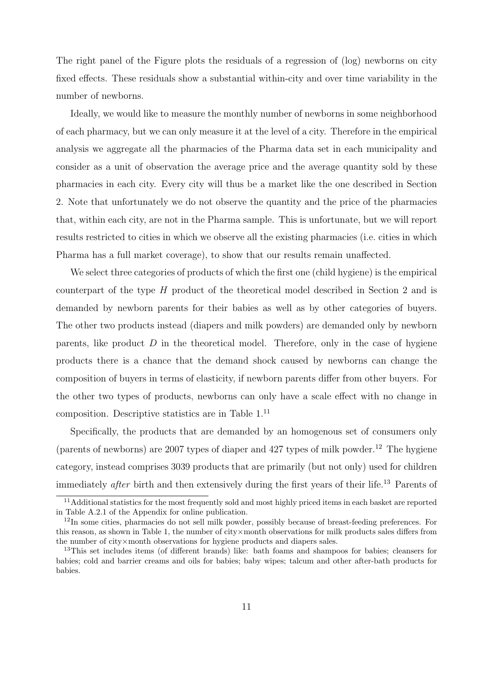The right panel of the Figure plots the residuals of a regression of (log) newborns on city fixed effects. These residuals show a substantial within-city and over time variability in the number of newborns.

Ideally, we would like to measure the monthly number of newborns in some neighborhood of each pharmacy, but we can only measure it at the level of a city. Therefore in the empirical analysis we aggregate all the pharmacies of the Pharma data set in each municipality and consider as a unit of observation the average price and the average quantity sold by these pharmacies in each city. Every city will thus be a market like the one described in Section 2. Note that unfortunately we do not observe the quantity and the price of the pharmacies that, within each city, are not in the Pharma sample. This is unfortunate, but we will report results restricted to cities in which we observe all the existing pharmacies (i.e. cities in which Pharma has a full market coverage), to show that our results remain unaffected.

We select three categories of products of which the first one (child hygiene) is the empirical counterpart of the type H product of the theoretical model described in Section 2 and is demanded by newborn parents for their babies as well as by other categories of buyers. The other two products instead (diapers and milk powders) are demanded only by newborn parents, like product  $D$  in the theoretical model. Therefore, only in the case of hygiene products there is a chance that the demand shock caused by newborns can change the composition of buyers in terms of elasticity, if newborn parents differ from other buyers. For the other two types of products, newborns can only have a scale effect with no change in composition. Descriptive statistics are in Table 1.<sup>11</sup>

Specifically, the products that are demanded by an homogenous set of consumers only (parents of newborns) are 2007 types of diaper and 427 types of milk powder.<sup>12</sup> The hygiene category, instead comprises 3039 products that are primarily (but not only) used for children immediately *after* birth and then extensively during the first years of their life.<sup>13</sup> Parents of

<sup>&</sup>lt;sup>11</sup>Additional statistics for the most frequently sold and most highly priced items in each basket are reported in Table A.2.1 of the Appendix for online publication.

<sup>&</sup>lt;sup>12</sup>In some cities, pharmacies do not sell milk powder, possibly because of breast-feeding preferences. For this reason, as shown in Table 1, the number of city×month observations for milk products sales differs from the number of city×month observations for hygiene products and diapers sales.

<sup>13</sup>This set includes items (of different brands) like: bath foams and shampoos for babies; cleansers for babies; cold and barrier creams and oils for babies; baby wipes; talcum and other after-bath products for babies.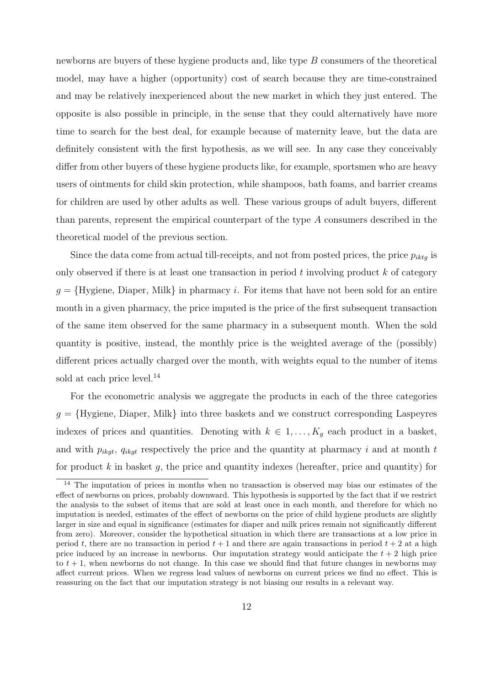newborns are buyers of these hygiene products and, like type B consumers of the theoretical model, may have a higher (opportunity) cost of search because they are time-constrained and may be relatively inexperienced about the new market in which they just entered. The opposite is also possible in principle, in the sense that they could alternatively have more time to search for the best deal, for example because of maternity leave, but the data are definitely consistent with the first hypothesis, as we will see. In any case they conceivably differ from other buyers of these hygiene products like, for example, sportsmen who are heavy users of ointments for child skin protection, while shampoos, bath foams, and barrier creams for children are used by other adults as well. These various groups of adult buyers, different than parents, represent the empirical counterpart of the type A consumers described in the theoretical model of the previous section.

Since the data come from actual till-receipts, and not from posted prices, the price  $p_{iktq}$  is only observed if there is at least one transaction in period t involving product  $k$  of category  $g = \{Hyging$ , Diaper, Milk in pharmacy i. For items that have not been sold for an entire month in a given pharmacy, the price imputed is the price of the first subsequent transaction of the same item observed for the same pharmacy in a subsequent month. When the sold quantity is positive, instead, the monthly price is the weighted average of the (possibly) different prices actually charged over the month, with weights equal to the number of items sold at each price level.<sup>14</sup>

For the econometric analysis we aggregate the products in each of the three categories  $g = {Hygiene, Diaper, Milk}$  into three baskets and we construct corresponding Laspeyres indexes of prices and quantities. Denoting with  $k \in 1, \ldots, K_q$  each product in a basket, and with  $p_{ikqt}$ ,  $q_{ikqt}$  respectively the price and the quantity at pharmacy i and at month t for product  $k$  in basket  $g$ , the price and quantity indexes (hereafter, price and quantity) for

<sup>&</sup>lt;sup>14</sup> The imputation of prices in months when no transaction is observed may bias our estimates of the effect of newborns on prices, probably downward. This hypothesis is supported by the fact that if we restrict the analysis to the subset of items that are sold at least once in each month, and therefore for which no imputation is needed, estimates of the effect of newborns on the price of child hygiene products are slightly larger in size and equal in significance (estimates for diaper and milk prices remain not significantly different from zero). Moreover, consider the hypothetical situation in which there are transactions at a low price in period t, there are no transaction in period  $t + 1$  and there are again transactions in period  $t + 2$  at a high price induced by an increase in newborns. Our imputation strategy would anticipate the  $t + 2$  high price to  $t + 1$ , when newborns do not change. In this case we should find that future changes in newborns may affect current prices. When we regress lead values of newborns on current prices we find no effect. This is reassuring on the fact that our imputation strategy is not biasing our results in a relevant way.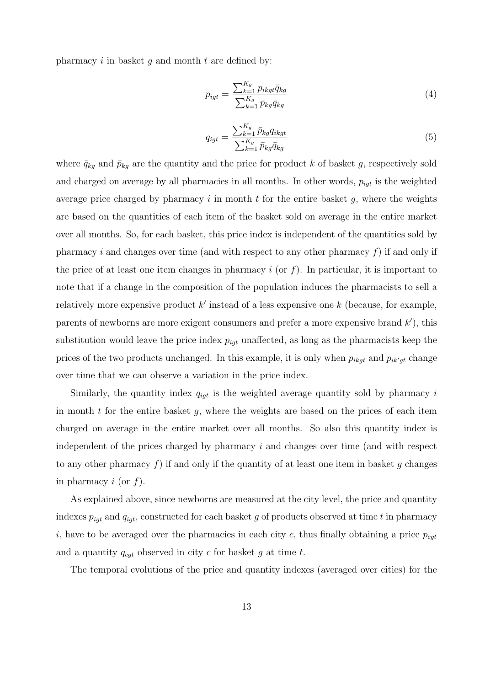pharmacy i in basket q and month t are defined by:

$$
p_{igt} = \frac{\sum_{k=1}^{K_g} p_{ikgt} \bar{q}_{kg}}{\sum_{k=1}^{K_g} \bar{p}_{kg} \bar{q}_{kg}}
$$
(4)

$$
q_{igt} = \frac{\sum_{k=1}^{K_g} \bar{p}_{kg} q_{ikgt}}{\sum_{k=1}^{K_g} \bar{p}_{kg} \bar{q}_{kg}}
$$
\n
$$
\tag{5}
$$

where  $\bar{q}_{kg}$  and  $\bar{p}_{kg}$  are the quantity and the price for product k of basket g, respectively sold and charged on average by all pharmacies in all months. In other words,  $p_{iqt}$  is the weighted average price charged by pharmacy  $i$  in month  $t$  for the entire basket  $g$ , where the weights are based on the quantities of each item of the basket sold on average in the entire market over all months. So, for each basket, this price index is independent of the quantities sold by pharmacy i and changes over time (and with respect to any other pharmacy  $f$ ) if and only if the price of at least one item changes in pharmacy i (or  $f$ ). In particular, it is important to note that if a change in the composition of the population induces the pharmacists to sell a relatively more expensive product  $k'$  instead of a less expensive one  $k$  (because, for example, parents of newborns are more exigent consumers and prefer a more expensive brand  $k'$ ), this substitution would leave the price index  $p_{iqt}$  unaffected, as long as the pharmacists keep the prices of the two products unchanged. In this example, it is only when  $p_{ikgt}$  and  $p_{ik'gt}$  change over time that we can observe a variation in the price index.

Similarly, the quantity index  $q_{igt}$  is the weighted average quantity sold by pharmacy i in month  $t$  for the entire basket  $g$ , where the weights are based on the prices of each item charged on average in the entire market over all months. So also this quantity index is independent of the prices charged by pharmacy  $i$  and changes over time (and with respect to any other pharmacy f) if and only if the quantity of at least one item in basket q changes in pharmacy  $i$  (or  $f$ ).

As explained above, since newborns are measured at the city level, the price and quantity indexes  $p_{igt}$  and  $q_{igt}$ , constructed for each basket g of products observed at time t in pharmacy i, have to be averaged over the pharmacies in each city c, thus finally obtaining a price  $p_{cat}$ and a quantity  $q_{cqt}$  observed in city c for basket g at time t.

The temporal evolutions of the price and quantity indexes (averaged over cities) for the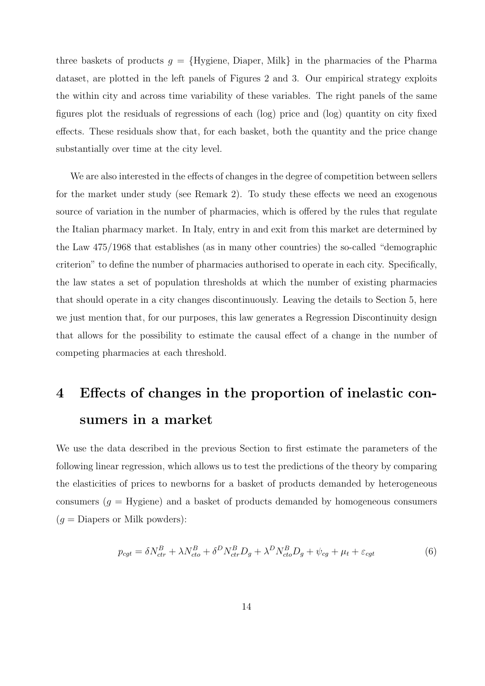three baskets of products  $g = {Hygiene, Diaper, Milk}$  in the pharmacies of the Pharma dataset, are plotted in the left panels of Figures 2 and 3. Our empirical strategy exploits the within city and across time variability of these variables. The right panels of the same figures plot the residuals of regressions of each (log) price and (log) quantity on city fixed effects. These residuals show that, for each basket, both the quantity and the price change substantially over time at the city level.

We are also interested in the effects of changes in the degree of competition between sellers for the market under study (see Remark 2). To study these effects we need an exogenous source of variation in the number of pharmacies, which is offered by the rules that regulate the Italian pharmacy market. In Italy, entry in and exit from this market are determined by the Law 475/1968 that establishes (as in many other countries) the so-called "demographic criterion" to define the number of pharmacies authorised to operate in each city. Specifically, the law states a set of population thresholds at which the number of existing pharmacies that should operate in a city changes discontinuously. Leaving the details to Section 5, here we just mention that, for our purposes, this law generates a Regression Discontinuity design that allows for the possibility to estimate the causal effect of a change in the number of competing pharmacies at each threshold.

# 4 Effects of changes in the proportion of inelastic consumers in a market

We use the data described in the previous Section to first estimate the parameters of the following linear regression, which allows us to test the predictions of the theory by comparing the elasticities of prices to newborns for a basket of products demanded by heterogeneous consumers  $(g = Hygiene)$  and a basket of products demanded by homogeneous consumers  $(g =$ Diapers or Milk powders):

$$
p_{cgt} = \delta N_{ctr}^B + \lambda N_{cto}^B + \delta^D N_{ctr}^B D_g + \lambda^D N_{cto}^B D_g + \psi_{cg} + \mu_t + \varepsilon_{cgt}
$$
(6)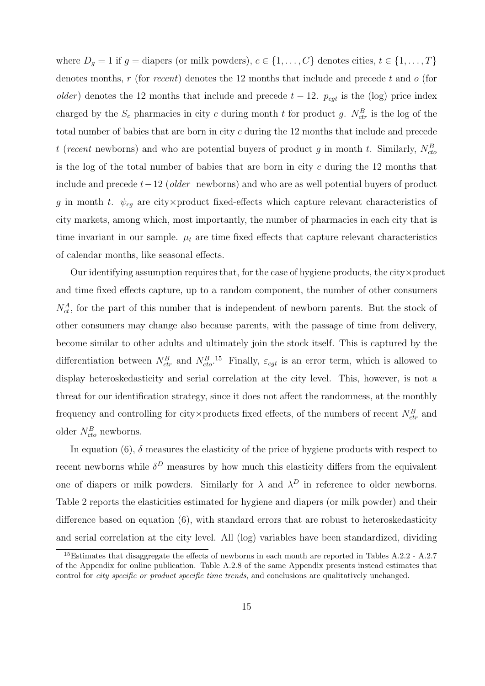where  $D_g = 1$  if  $g =$  diapers (or milk powders),  $c \in \{1, ..., C\}$  denotes cities,  $t \in \{1, ..., T\}$ denotes months,  $r$  (for recent) denotes the 12 months that include and precede  $t$  and  $o$  (for older) denotes the 12 months that include and precede  $t - 12$ .  $p_{cgt}$  is the (log) price index charged by the  $S_c$  pharmacies in city c during month t for product g.  $N_{ctr}^B$  is the log of the total number of babies that are born in city c during the 12 months that include and precede t (recent newborns) and who are potential buyers of product g in month t. Similarly,  $N_{cto}^B$ is the log of the total number of babies that are born in city c during the 12 months that include and precede  $t-12$  (older newborns) and who are as well potential buyers of product g in month t.  $\psi_{cg}$  are city×product fixed-effects which capture relevant characteristics of city markets, among which, most importantly, the number of pharmacies in each city that is time invariant in our sample.  $\mu_t$  are time fixed effects that capture relevant characteristics of calendar months, like seasonal effects.

Our identifying assumption requires that, for the case of hygiene products, the city $\times$  product and time fixed effects capture, up to a random component, the number of other consumers  $N_{ct}^{A}$ , for the part of this number that is independent of newborn parents. But the stock of other consumers may change also because parents, with the passage of time from delivery, become similar to other adults and ultimately join the stock itself. This is captured by the differentiation between  $N_{ctr}^B$  and  $N_{cto}^B$ .<sup>15</sup> Finally,  $\varepsilon_{cgt}$  is an error term, which is allowed to display heteroskedasticity and serial correlation at the city level. This, however, is not a threat for our identification strategy, since it does not affect the randomness, at the monthly frequency and controlling for city×products fixed effects, of the numbers of recent  $N_{ctr}^B$  and older  $N_{cto}^B$  newborns.

In equation (6),  $\delta$  measures the elasticity of the price of hygiene products with respect to recent newborns while  $\delta^D$  measures by how much this elasticity differs from the equivalent one of diapers or milk powders. Similarly for  $\lambda$  and  $\lambda^D$  in reference to older newborns. Table 2 reports the elasticities estimated for hygiene and diapers (or milk powder) and their difference based on equation (6), with standard errors that are robust to heteroskedasticity and serial correlation at the city level. All (log) variables have been standardized, dividing

<sup>15</sup>Estimates that disaggregate the effects of newborns in each month are reported in Tables A.2.2 - A.2.7 of the Appendix for online publication. Table A.2.8 of the same Appendix presents instead estimates that control for *city specific or product specific time trends*, and conclusions are qualitatively unchanged.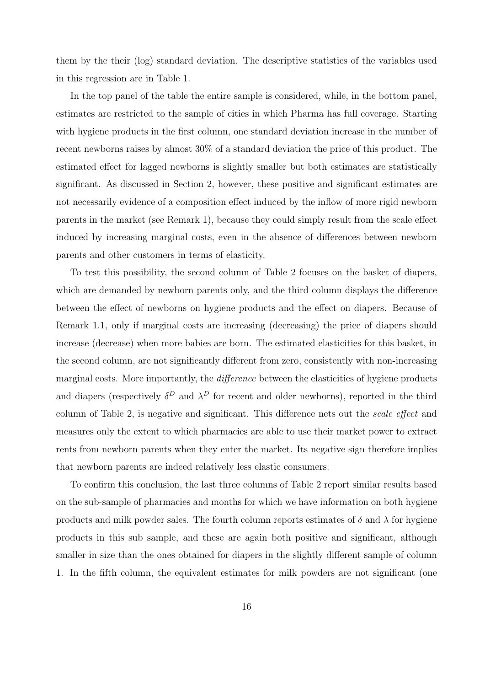them by the their (log) standard deviation. The descriptive statistics of the variables used in this regression are in Table 1.

In the top panel of the table the entire sample is considered, while, in the bottom panel, estimates are restricted to the sample of cities in which Pharma has full coverage. Starting with hygiene products in the first column, one standard deviation increase in the number of recent newborns raises by almost 30% of a standard deviation the price of this product. The estimated effect for lagged newborns is slightly smaller but both estimates are statistically significant. As discussed in Section 2, however, these positive and significant estimates are not necessarily evidence of a composition effect induced by the inflow of more rigid newborn parents in the market (see Remark 1), because they could simply result from the scale effect induced by increasing marginal costs, even in the absence of differences between newborn parents and other customers in terms of elasticity.

To test this possibility, the second column of Table 2 focuses on the basket of diapers, which are demanded by newborn parents only, and the third column displays the difference between the effect of newborns on hygiene products and the effect on diapers. Because of Remark 1.1, only if marginal costs are increasing (decreasing) the price of diapers should increase (decrease) when more babies are born. The estimated elasticities for this basket, in the second column, are not significantly different from zero, consistently with non-increasing marginal costs. More importantly, the *difference* between the elasticities of hygiene products and diapers (respectively  $\delta^D$  and  $\lambda^D$  for recent and older newborns), reported in the third column of Table 2, is negative and significant. This difference nets out the scale effect and measures only the extent to which pharmacies are able to use their market power to extract rents from newborn parents when they enter the market. Its negative sign therefore implies that newborn parents are indeed relatively less elastic consumers.

To confirm this conclusion, the last three columns of Table 2 report similar results based on the sub-sample of pharmacies and months for which we have information on both hygiene products and milk powder sales. The fourth column reports estimates of  $\delta$  and  $\lambda$  for hygiene products in this sub sample, and these are again both positive and significant, although smaller in size than the ones obtained for diapers in the slightly different sample of column 1. In the fifth column, the equivalent estimates for milk powders are not significant (one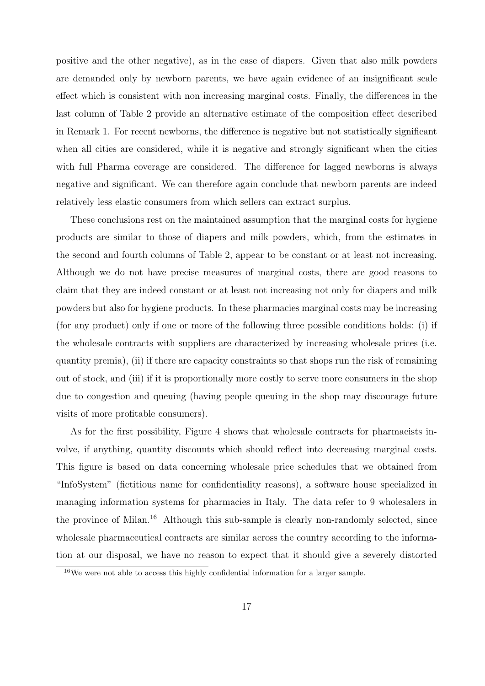positive and the other negative), as in the case of diapers. Given that also milk powders are demanded only by newborn parents, we have again evidence of an insignificant scale effect which is consistent with non increasing marginal costs. Finally, the differences in the last column of Table 2 provide an alternative estimate of the composition effect described in Remark 1. For recent newborns, the difference is negative but not statistically significant when all cities are considered, while it is negative and strongly significant when the cities with full Pharma coverage are considered. The difference for lagged newborns is always negative and significant. We can therefore again conclude that newborn parents are indeed relatively less elastic consumers from which sellers can extract surplus.

These conclusions rest on the maintained assumption that the marginal costs for hygiene products are similar to those of diapers and milk powders, which, from the estimates in the second and fourth columns of Table 2, appear to be constant or at least not increasing. Although we do not have precise measures of marginal costs, there are good reasons to claim that they are indeed constant or at least not increasing not only for diapers and milk powders but also for hygiene products. In these pharmacies marginal costs may be increasing (for any product) only if one or more of the following three possible conditions holds: (i) if the wholesale contracts with suppliers are characterized by increasing wholesale prices (i.e. quantity premia), (ii) if there are capacity constraints so that shops run the risk of remaining out of stock, and (iii) if it is proportionally more costly to serve more consumers in the shop due to congestion and queuing (having people queuing in the shop may discourage future visits of more profitable consumers).

As for the first possibility, Figure 4 shows that wholesale contracts for pharmacists involve, if anything, quantity discounts which should reflect into decreasing marginal costs. This figure is based on data concerning wholesale price schedules that we obtained from "InfoSystem" (fictitious name for confidentiality reasons), a software house specialized in managing information systems for pharmacies in Italy. The data refer to 9 wholesalers in the province of Milan.<sup>16</sup> Although this sub-sample is clearly non-randomly selected, since wholesale pharmaceutical contracts are similar across the country according to the information at our disposal, we have no reason to expect that it should give a severely distorted

<sup>16</sup>We were not able to access this highly confidential information for a larger sample.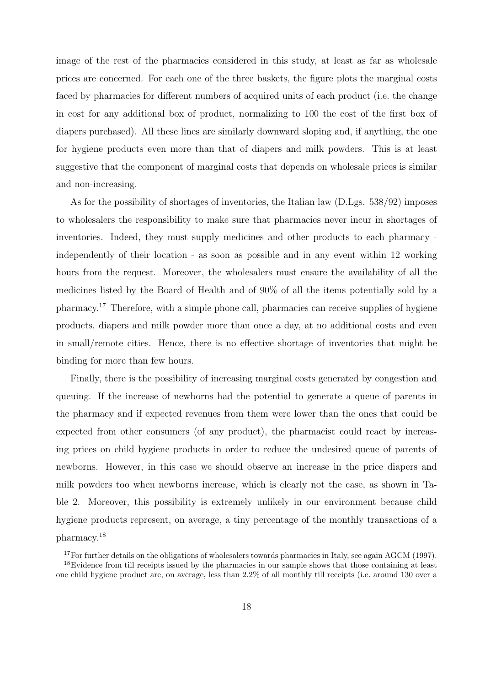image of the rest of the pharmacies considered in this study, at least as far as wholesale prices are concerned. For each one of the three baskets, the figure plots the marginal costs faced by pharmacies for different numbers of acquired units of each product (i.e. the change in cost for any additional box of product, normalizing to 100 the cost of the first box of diapers purchased). All these lines are similarly downward sloping and, if anything, the one for hygiene products even more than that of diapers and milk powders. This is at least suggestive that the component of marginal costs that depends on wholesale prices is similar and non-increasing.

As for the possibility of shortages of inventories, the Italian law (D.Lgs. 538/92) imposes to wholesalers the responsibility to make sure that pharmacies never incur in shortages of inventories. Indeed, they must supply medicines and other products to each pharmacy independently of their location - as soon as possible and in any event within 12 working hours from the request. Moreover, the wholesalers must ensure the availability of all the medicines listed by the Board of Health and of 90% of all the items potentially sold by a pharmacy.<sup>17</sup> Therefore, with a simple phone call, pharmacies can receive supplies of hygiene products, diapers and milk powder more than once a day, at no additional costs and even in small/remote cities. Hence, there is no effective shortage of inventories that might be binding for more than few hours.

Finally, there is the possibility of increasing marginal costs generated by congestion and queuing. If the increase of newborns had the potential to generate a queue of parents in the pharmacy and if expected revenues from them were lower than the ones that could be expected from other consumers (of any product), the pharmacist could react by increasing prices on child hygiene products in order to reduce the undesired queue of parents of newborns. However, in this case we should observe an increase in the price diapers and milk powders too when newborns increase, which is clearly not the case, as shown in Table 2. Moreover, this possibility is extremely unlikely in our environment because child hygiene products represent, on average, a tiny percentage of the monthly transactions of a pharmacy.<sup>18</sup>

<sup>&</sup>lt;sup>17</sup>For further details on the obligations of wholesalers towards pharmacies in Italy, see again AGCM (1997).

<sup>&</sup>lt;sup>18</sup>Evidence from till receipts issued by the pharmacies in our sample shows that those containing at least one child hygiene product are, on average, less than 2.2% of all monthly till receipts (i.e. around 130 over a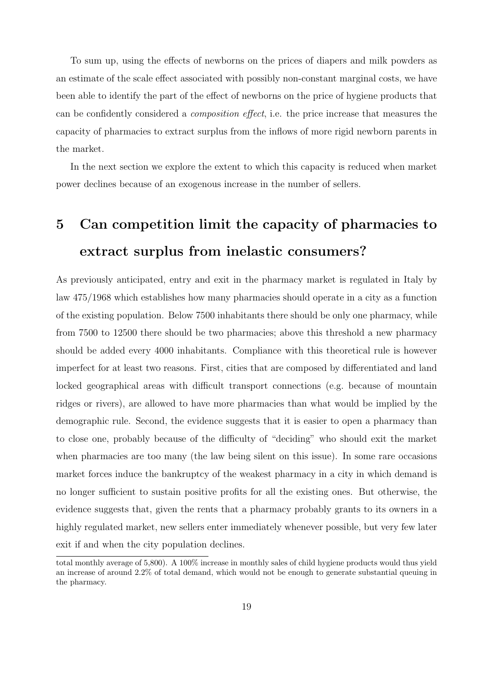To sum up, using the effects of newborns on the prices of diapers and milk powders as an estimate of the scale effect associated with possibly non-constant marginal costs, we have been able to identify the part of the effect of newborns on the price of hygiene products that can be confidently considered a composition effect, i.e. the price increase that measures the capacity of pharmacies to extract surplus from the inflows of more rigid newborn parents in the market.

In the next section we explore the extent to which this capacity is reduced when market power declines because of an exogenous increase in the number of sellers.

## 5 Can competition limit the capacity of pharmacies to extract surplus from inelastic consumers?

As previously anticipated, entry and exit in the pharmacy market is regulated in Italy by law 475/1968 which establishes how many pharmacies should operate in a city as a function of the existing population. Below 7500 inhabitants there should be only one pharmacy, while from 7500 to 12500 there should be two pharmacies; above this threshold a new pharmacy should be added every 4000 inhabitants. Compliance with this theoretical rule is however imperfect for at least two reasons. First, cities that are composed by differentiated and land locked geographical areas with difficult transport connections (e.g. because of mountain ridges or rivers), are allowed to have more pharmacies than what would be implied by the demographic rule. Second, the evidence suggests that it is easier to open a pharmacy than to close one, probably because of the difficulty of "deciding" who should exit the market when pharmacies are too many (the law being silent on this issue). In some rare occasions market forces induce the bankruptcy of the weakest pharmacy in a city in which demand is no longer sufficient to sustain positive profits for all the existing ones. But otherwise, the evidence suggests that, given the rents that a pharmacy probably grants to its owners in a highly regulated market, new sellers enter immediately whenever possible, but very few later exit if and when the city population declines.

total monthly average of 5,800). A 100% increase in monthly sales of child hygiene products would thus yield an increase of around 2.2% of total demand, which would not be enough to generate substantial queuing in the pharmacy.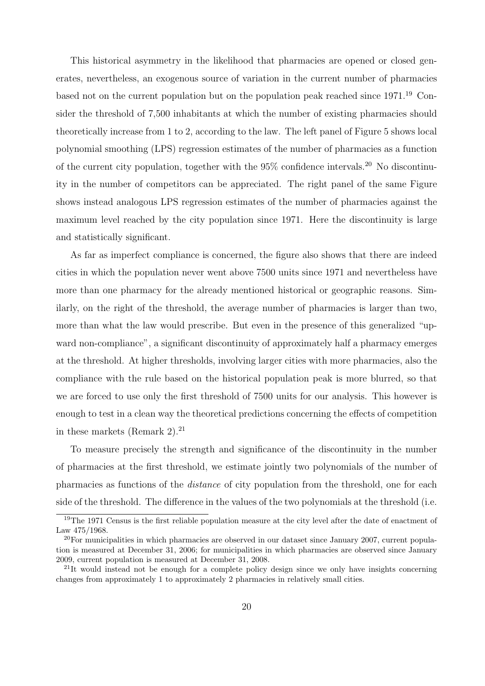This historical asymmetry in the likelihood that pharmacies are opened or closed generates, nevertheless, an exogenous source of variation in the current number of pharmacies based not on the current population but on the population peak reached since  $1971<sup>19</sup>$  Consider the threshold of 7,500 inhabitants at which the number of existing pharmacies should theoretically increase from 1 to 2, according to the law. The left panel of Figure 5 shows local polynomial smoothing (LPS) regression estimates of the number of pharmacies as a function of the current city population, together with the  $95\%$  confidence intervals.<sup>20</sup> No discontinuity in the number of competitors can be appreciated. The right panel of the same Figure shows instead analogous LPS regression estimates of the number of pharmacies against the maximum level reached by the city population since 1971. Here the discontinuity is large and statistically significant.

As far as imperfect compliance is concerned, the figure also shows that there are indeed cities in which the population never went above 7500 units since 1971 and nevertheless have more than one pharmacy for the already mentioned historical or geographic reasons. Similarly, on the right of the threshold, the average number of pharmacies is larger than two, more than what the law would prescribe. But even in the presence of this generalized "upward non-compliance", a significant discontinuity of approximately half a pharmacy emerges at the threshold. At higher thresholds, involving larger cities with more pharmacies, also the compliance with the rule based on the historical population peak is more blurred, so that we are forced to use only the first threshold of 7500 units for our analysis. This however is enough to test in a clean way the theoretical predictions concerning the effects of competition in these markets (Remark 2). $^{21}$ 

To measure precisely the strength and significance of the discontinuity in the number of pharmacies at the first threshold, we estimate jointly two polynomials of the number of pharmacies as functions of the distance of city population from the threshold, one for each side of the threshold. The difference in the values of the two polynomials at the threshold (i.e.

<sup>&</sup>lt;sup>19</sup>The 1971 Census is the first reliable population measure at the city level after the date of enactment of Law 475/1968.

<sup>&</sup>lt;sup>20</sup>For municipalities in which pharmacies are observed in our dataset since January 2007, current population is measured at December 31, 2006; for municipalities in which pharmacies are observed since January 2009, current population is measured at December 31, 2008.

<sup>&</sup>lt;sup>21</sup>It would instead not be enough for a complete policy design since we only have insights concerning changes from approximately 1 to approximately 2 pharmacies in relatively small cities.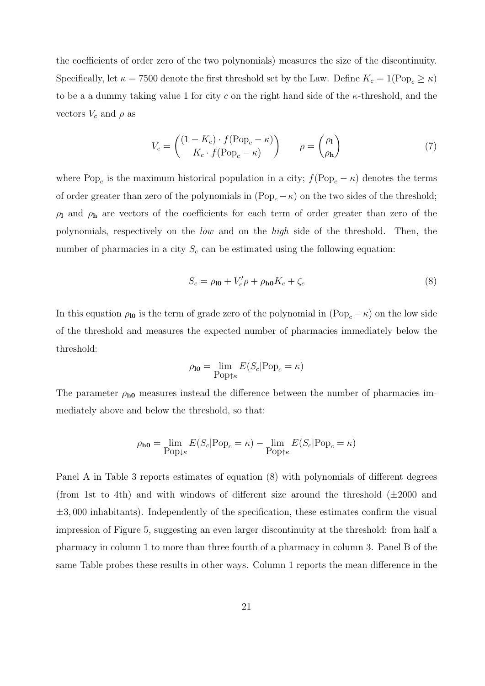the coefficients of order zero of the two polynomials) measures the size of the discontinuity. Specifically, let  $\kappa = 7500$  denote the first threshold set by the Law. Define  $K_c = 1(\text{Pop}_c \geq \kappa)$ to be a a dummy taking value 1 for city c on the right hand side of the  $\kappa$ -threshold, and the vectors  $V_c$  and  $\rho$  as

$$
V_c = \begin{pmatrix} (1 - K_c) \cdot f(\text{Pop}_c - \kappa) \\ K_c \cdot f(\text{Pop}_c - \kappa) \end{pmatrix} \qquad \rho = \begin{pmatrix} \rho_1 \\ \rho_{\mathbf{h}} \end{pmatrix} \tag{7}
$$

where Pop<sub>c</sub> is the maximum historical population in a city;  $f(\text{Pop}_c - \kappa)$  denotes the terms of order greater than zero of the polynomials in  $(Pop_c - \kappa)$  on the two sides of the threshold;  $\rho_1$  and  $\rho_2$  are vectors of the coefficients for each term of order greater than zero of the polynomials, respectively on the low and on the high side of the threshold. Then, the number of pharmacies in a city  $S_c$  can be estimated using the following equation:

$$
S_c = \rho_{\mathbf{10}} + V_c' \rho + \rho_{\mathbf{h0}} K_c + \zeta_c \tag{8}
$$

In this equation  $\rho_{10}$  is the term of grade zero of the polynomial in (Pop<sub>c</sub> −  $\kappa$ ) on the low side of the threshold and measures the expected number of pharmacies immediately below the threshold:

$$
\rho_{\mathbf{10}} = \lim_{\text{Pop}\uparrow\kappa} E(S_c | \text{Pop}_c = \kappa)
$$

The parameter  $\rho_{h0}$  measures instead the difference between the number of pharmacies immediately above and below the threshold, so that:

$$
\rho_{\mathbf{h0}} = \lim_{\text{Pop}_{\downarrow\kappa}} E(S_c | \text{Pop}_c = \kappa) - \lim_{\text{Pop}_{\uparrow\kappa}} E(S_c | \text{Pop}_c = \kappa)
$$

Panel A in Table 3 reports estimates of equation (8) with polynomials of different degrees (from 1st to 4th) and with windows of different size around the threshold  $(\pm 2000$  and  $\pm 3,000$  inhabitants). Independently of the specification, these estimates confirm the visual impression of Figure 5, suggesting an even larger discontinuity at the threshold: from half a pharmacy in column 1 to more than three fourth of a pharmacy in column 3. Panel B of the same Table probes these results in other ways. Column 1 reports the mean difference in the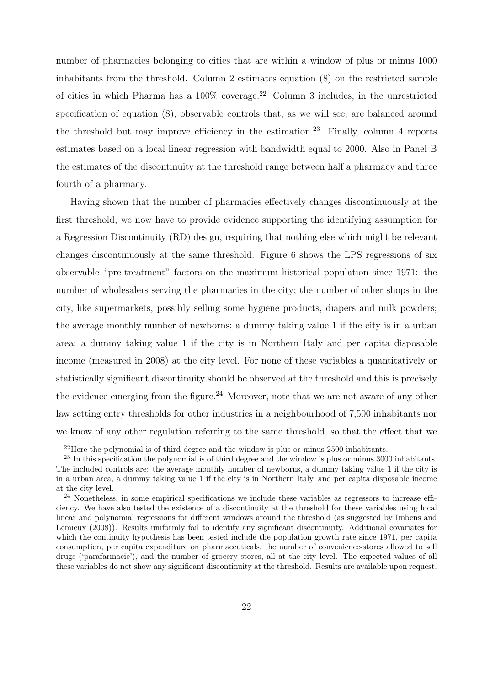number of pharmacies belonging to cities that are within a window of plus or minus 1000 inhabitants from the threshold. Column 2 estimates equation (8) on the restricted sample of cities in which Pharma has a  $100\%$  coverage.<sup>22</sup> Column 3 includes, in the unrestricted specification of equation (8), observable controls that, as we will see, are balanced around the threshold but may improve efficiency in the estimation.<sup>23</sup> Finally, column 4 reports estimates based on a local linear regression with bandwidth equal to 2000. Also in Panel B the estimates of the discontinuity at the threshold range between half a pharmacy and three fourth of a pharmacy.

Having shown that the number of pharmacies effectively changes discontinuously at the first threshold, we now have to provide evidence supporting the identifying assumption for a Regression Discontinuity (RD) design, requiring that nothing else which might be relevant changes discontinuously at the same threshold. Figure 6 shows the LPS regressions of six observable "pre-treatment" factors on the maximum historical population since 1971: the number of wholesalers serving the pharmacies in the city; the number of other shops in the city, like supermarkets, possibly selling some hygiene products, diapers and milk powders; the average monthly number of newborns; a dummy taking value 1 if the city is in a urban area; a dummy taking value 1 if the city is in Northern Italy and per capita disposable income (measured in 2008) at the city level. For none of these variables a quantitatively or statistically significant discontinuity should be observed at the threshold and this is precisely the evidence emerging from the figure.<sup>24</sup> Moreover, note that we are not aware of any other law setting entry thresholds for other industries in a neighbourhood of 7,500 inhabitants nor we know of any other regulation referring to the same threshold, so that the effect that we

<sup>22</sup>Here the polynomial is of third degree and the window is plus or minus 2500 inhabitants.

<sup>&</sup>lt;sup>23</sup> In this specification the polynomial is of third degree and the window is plus or minus 3000 inhabitants. The included controls are: the average monthly number of newborns, a dummy taking value 1 if the city is in a urban area, a dummy taking value 1 if the city is in Northern Italy, and per capita disposable income at the city level.

<sup>&</sup>lt;sup>24</sup> Nonetheless, in some empirical specifications we include these variables as regressors to increase efficiency. We have also tested the existence of a discontinuity at the threshold for these variables using local linear and polynomial regressions for different windows around the threshold (as suggested by Imbens and Lemieux (2008)). Results uniformly fail to identify any significant discontinuity. Additional covariates for which the continuity hypothesis has been tested include the population growth rate since 1971, per capita consumption, per capita expenditure on pharmaceuticals, the number of convenience-stores allowed to sell drugs ('parafarmacie'), and the number of grocery stores, all at the city level. The expected values of all these variables do not show any significant discontinuity at the threshold. Results are available upon request.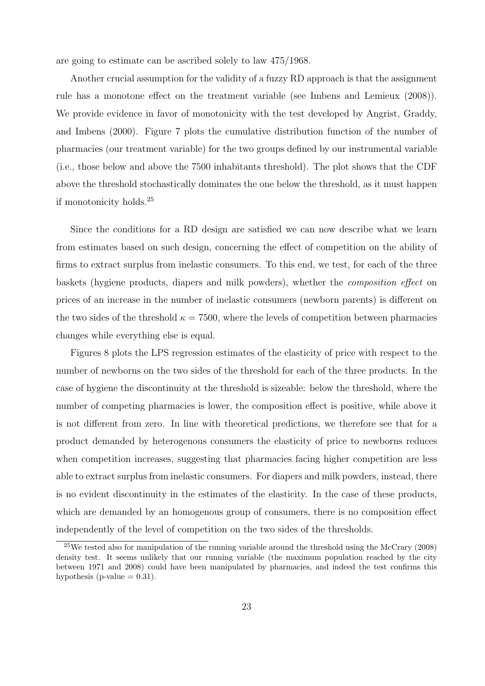are going to estimate can be ascribed solely to law 475/1968.

Another crucial assumption for the validity of a fuzzy RD approach is that the assignment rule has a monotone effect on the treatment variable (see Imbens and Lemieux (2008)). We provide evidence in favor of monotonicity with the test developed by Angrist, Graddy, and Imbens (2000). Figure 7 plots the cumulative distribution function of the number of pharmacies (our treatment variable) for the two groups defined by our instrumental variable (i.e., those below and above the 7500 inhabitants threshold). The plot shows that the CDF above the threshold stochastically dominates the one below the threshold, as it must happen if monotonicity holds.<sup>25</sup>

Since the conditions for a RD design are satisfied we can now describe what we learn from estimates based on such design, concerning the effect of competition on the ability of firms to extract surplus from inelastic consumers. To this end, we test, for each of the three baskets (hygiene products, diapers and milk powders), whether the composition effect on prices of an increase in the number of inelastic consumers (newborn parents) is different on the two sides of the threshold  $\kappa = 7500$ , where the levels of competition between pharmacies changes while everything else is equal.

Figures 8 plots the LPS regression estimates of the elasticity of price with respect to the number of newborns on the two sides of the threshold for each of the three products. In the case of hygiene the discontinuity at the threshold is sizeable: below the threshold, where the number of competing pharmacies is lower, the composition effect is positive, while above it is not different from zero. In line with theoretical predictions, we therefore see that for a product demanded by heterogenous consumers the elasticity of price to newborns reduces when competition increases, suggesting that pharmacies facing higher competition are less able to extract surplus from inelastic consumers. For diapers and milk powders, instead, there is no evident discontinuity in the estimates of the elasticity. In the case of these products, which are demanded by an homogenous group of consumers, there is no composition effect independently of the level of competition on the two sides of the thresholds.

<sup>25</sup>We tested also for manipulation of the running variable around the threshold using the McCrary (2008) density test. It seems unlikely that our running variable (the maximum population reached by the city between 1971 and 2008) could have been manipulated by pharmacies, and indeed the test confirms this hypothesis (p-value  $= 0.31$ ).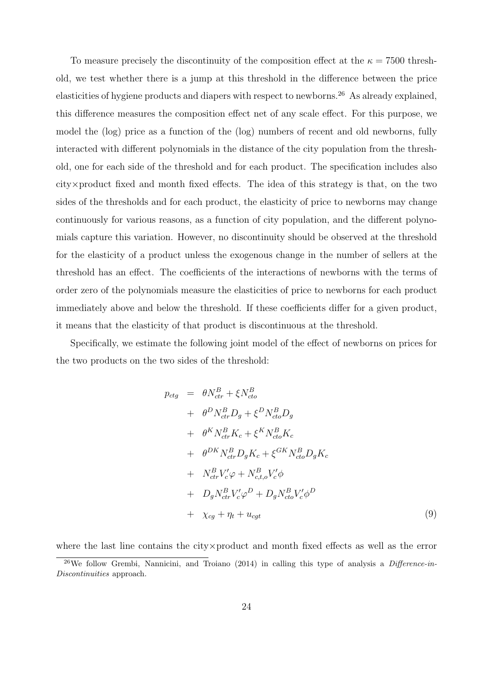To measure precisely the discontinuity of the composition effect at the  $\kappa = 7500$  threshold, we test whether there is a jump at this threshold in the difference between the price elasticities of hygiene products and diapers with respect to newborns.<sup>26</sup> As already explained, this difference measures the composition effect net of any scale effect. For this purpose, we model the (log) price as a function of the (log) numbers of recent and old newborns, fully interacted with different polynomials in the distance of the city population from the threshold, one for each side of the threshold and for each product. The specification includes also city×product fixed and month fixed effects. The idea of this strategy is that, on the two sides of the thresholds and for each product, the elasticity of price to newborns may change continuously for various reasons, as a function of city population, and the different polynomials capture this variation. However, no discontinuity should be observed at the threshold for the elasticity of a product unless the exogenous change in the number of sellers at the threshold has an effect. The coefficients of the interactions of newborns with the terms of order zero of the polynomials measure the elasticities of price to newborns for each product immediately above and below the threshold. If these coefficients differ for a given product, it means that the elasticity of that product is discontinuous at the threshold.

Specifically, we estimate the following joint model of the effect of newborns on prices for the two products on the two sides of the threshold:

$$
p_{ctg} = \theta N_{ctr}^B + \xi N_{cto}^B
$$
  
+  $\theta^D N_{ctr}^B D_g + \xi^D N_{cto}^B D_g$   
+  $\theta^K N_{ctr}^B K_c + \xi^K N_{cto}^B K_c$   
+  $\theta^{DK} N_{ctr}^B D_g K_c + \xi^{GK} N_{cto}^B D_g K_c$   
+  $N_{ctr}^B V_c' \varphi + N_{c,t,o}^B V_c' \varphi$   
+  $D_g N_{ctr}^B V_c' \varphi^D + D_g N_{cto}^B V_c' \varphi^D$   
+  $\chi_{cg} + \eta_t + u_{cgt}$  (9)

where the last line contains the city×product and month fixed effects as well as the error

<sup>&</sup>lt;sup>26</sup>We follow Grembi, Nannicini, and Troiano (2014) in calling this type of analysis a *Difference-in-*Discontinuities approach.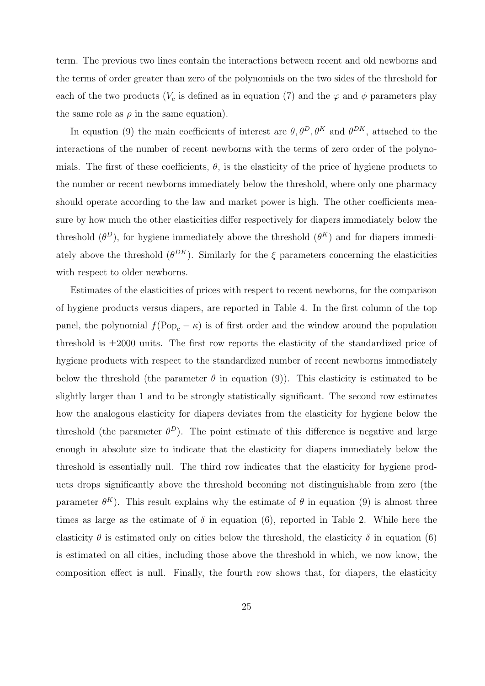term. The previous two lines contain the interactions between recent and old newborns and the terms of order greater than zero of the polynomials on the two sides of the threshold for each of the two products ( $V_c$  is defined as in equation (7) and the  $\varphi$  and  $\phi$  parameters play the same role as  $\rho$  in the same equation).

In equation (9) the main coefficients of interest are  $\theta, \theta^D, \theta^K$  and  $\theta^{DK}$ , attached to the interactions of the number of recent newborns with the terms of zero order of the polynomials. The first of these coefficients,  $\theta$ , is the elasticity of the price of hygiene products to the number or recent newborns immediately below the threshold, where only one pharmacy should operate according to the law and market power is high. The other coefficients measure by how much the other elasticities differ respectively for diapers immediately below the threshold  $(\theta^D)$ , for hygiene immediately above the threshold  $(\theta^K)$  and for diapers immediately above the threshold  $(\theta^{DK})$ . Similarly for the  $\xi$  parameters concerning the elasticities with respect to older newborns.

Estimates of the elasticities of prices with respect to recent newborns, for the comparison of hygiene products versus diapers, are reported in Table 4. In the first column of the top panel, the polynomial  $f(\text{Pop}_c - \kappa)$  is of first order and the window around the population threshold is  $\pm 2000$  units. The first row reports the elasticity of the standardized price of hygiene products with respect to the standardized number of recent newborns immediately below the threshold (the parameter  $\theta$  in equation (9)). This elasticity is estimated to be slightly larger than 1 and to be strongly statistically significant. The second row estimates how the analogous elasticity for diapers deviates from the elasticity for hygiene below the threshold (the parameter  $\theta^D$ ). The point estimate of this difference is negative and large enough in absolute size to indicate that the elasticity for diapers immediately below the threshold is essentially null. The third row indicates that the elasticity for hygiene products drops significantly above the threshold becoming not distinguishable from zero (the parameter  $\theta^K$ ). This result explains why the estimate of  $\theta$  in equation (9) is almost three times as large as the estimate of  $\delta$  in equation (6), reported in Table 2. While here the elasticity  $\theta$  is estimated only on cities below the threshold, the elasticity  $\delta$  in equation (6) is estimated on all cities, including those above the threshold in which, we now know, the composition effect is null. Finally, the fourth row shows that, for diapers, the elasticity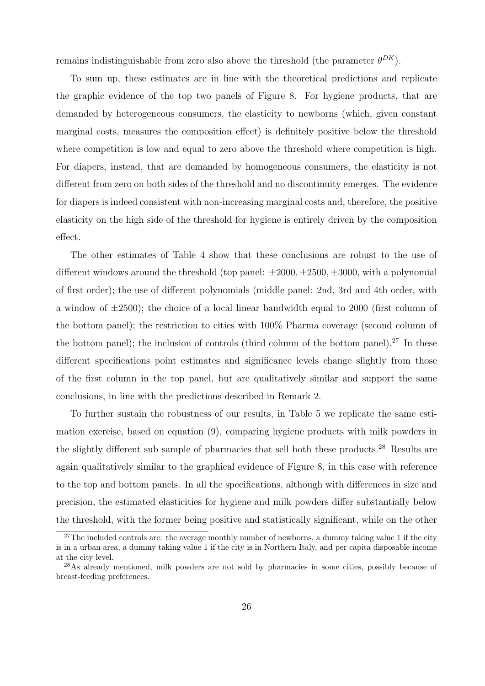remains indistinguishable from zero also above the threshold (the parameter  $\theta^{DK}$ ).

To sum up, these estimates are in line with the theoretical predictions and replicate the graphic evidence of the top two panels of Figure 8. For hygiene products, that are demanded by heterogeneous consumers, the elasticity to newborns (which, given constant marginal costs, measures the composition effect) is definitely positive below the threshold where competition is low and equal to zero above the threshold where competition is high. For diapers, instead, that are demanded by homogeneous consumers, the elasticity is not different from zero on both sides of the threshold and no discontinuity emerges. The evidence for diapers is indeed consistent with non-increasing marginal costs and, therefore, the positive elasticity on the high side of the threshold for hygiene is entirely driven by the composition effect.

The other estimates of Table 4 show that these conclusions are robust to the use of different windows around the threshold (top panel:  $\pm 2000, \pm 2500, \pm 3000$ , with a polynomial of first order); the use of different polynomials (middle panel: 2nd, 3rd and 4th order, with a window of  $\pm 2500$ ); the choice of a local linear bandwidth equal to 2000 (first column of the bottom panel); the restriction to cities with 100% Pharma coverage (second column of the bottom panel); the inclusion of controls (third column of the bottom panel).<sup>27</sup> In these different specifications point estimates and significance levels change slightly from those of the first column in the top panel, but are qualitatively similar and support the same conclusions, in line with the predictions described in Remark 2.

To further sustain the robustness of our results, in Table 5 we replicate the same estimation exercise, based on equation (9), comparing hygiene products with milk powders in the slightly different sub sample of pharmacies that sell both these products.<sup>28</sup> Results are again qualitatively similar to the graphical evidence of Figure 8, in this case with reference to the top and bottom panels. In all the specifications, although with differences in size and precision, the estimated elasticities for hygiene and milk powders differ substantially below the threshold, with the former being positive and statistically significant, while on the other

<sup>&</sup>lt;sup>27</sup>The included controls are: the average monthly number of newborns, a dummy taking value 1 if the city is in a urban area, a dummy taking value 1 if the city is in Northern Italy, and per capita disposable income at the city level.

<sup>28</sup>As already mentioned, milk powders are not sold by pharmacies in some cities, possibly because of breast-feeding preferences.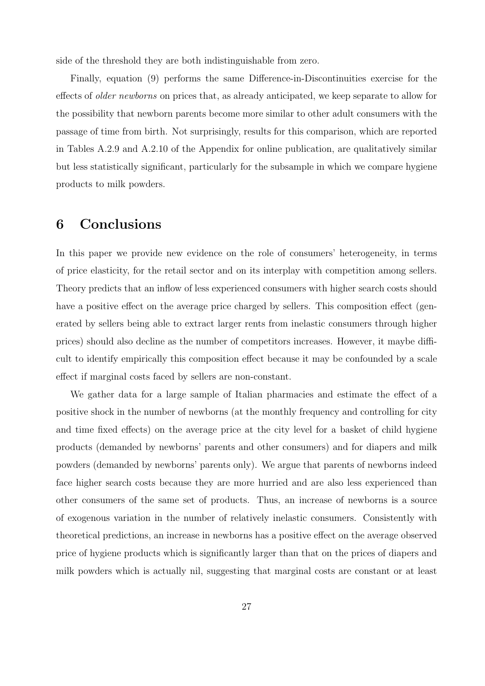side of the threshold they are both indistinguishable from zero.

Finally, equation (9) performs the same Difference-in-Discontinuities exercise for the effects of older newborns on prices that, as already anticipated, we keep separate to allow for the possibility that newborn parents become more similar to other adult consumers with the passage of time from birth. Not surprisingly, results for this comparison, which are reported in Tables A.2.9 and A.2.10 of the Appendix for online publication, are qualitatively similar but less statistically significant, particularly for the subsample in which we compare hygiene products to milk powders.

## 6 Conclusions

In this paper we provide new evidence on the role of consumers' heterogeneity, in terms of price elasticity, for the retail sector and on its interplay with competition among sellers. Theory predicts that an inflow of less experienced consumers with higher search costs should have a positive effect on the average price charged by sellers. This composition effect (generated by sellers being able to extract larger rents from inelastic consumers through higher prices) should also decline as the number of competitors increases. However, it maybe difficult to identify empirically this composition effect because it may be confounded by a scale effect if marginal costs faced by sellers are non-constant.

We gather data for a large sample of Italian pharmacies and estimate the effect of a positive shock in the number of newborns (at the monthly frequency and controlling for city and time fixed effects) on the average price at the city level for a basket of child hygiene products (demanded by newborns' parents and other consumers) and for diapers and milk powders (demanded by newborns' parents only). We argue that parents of newborns indeed face higher search costs because they are more hurried and are also less experienced than other consumers of the same set of products. Thus, an increase of newborns is a source of exogenous variation in the number of relatively inelastic consumers. Consistently with theoretical predictions, an increase in newborns has a positive effect on the average observed price of hygiene products which is significantly larger than that on the prices of diapers and milk powders which is actually nil, suggesting that marginal costs are constant or at least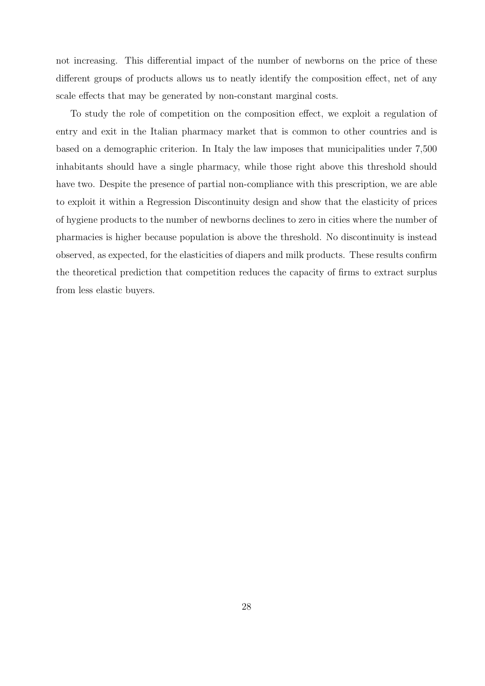not increasing. This differential impact of the number of newborns on the price of these different groups of products allows us to neatly identify the composition effect, net of any scale effects that may be generated by non-constant marginal costs.

To study the role of competition on the composition effect, we exploit a regulation of entry and exit in the Italian pharmacy market that is common to other countries and is based on a demographic criterion. In Italy the law imposes that municipalities under 7,500 inhabitants should have a single pharmacy, while those right above this threshold should have two. Despite the presence of partial non-compliance with this prescription, we are able to exploit it within a Regression Discontinuity design and show that the elasticity of prices of hygiene products to the number of newborns declines to zero in cities where the number of pharmacies is higher because population is above the threshold. No discontinuity is instead observed, as expected, for the elasticities of diapers and milk products. These results confirm the theoretical prediction that competition reduces the capacity of firms to extract surplus from less elastic buyers.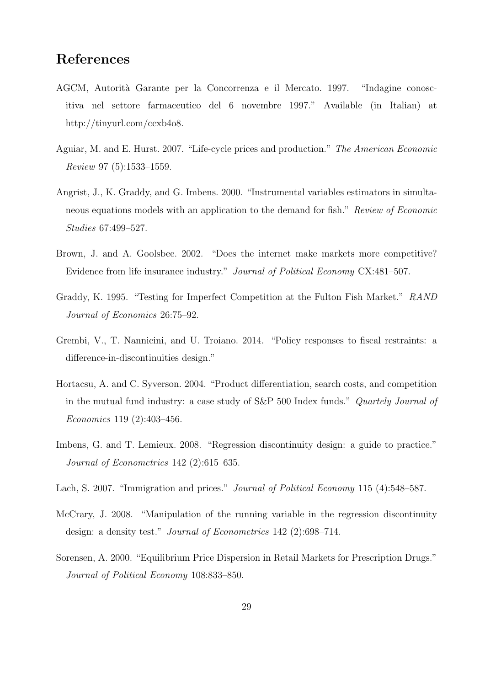## References

- AGCM, Autorità Garante per la Concorrenza e il Mercato. 1997. "Indagine conoscitiva nel settore farmaceutico del 6 novembre 1997." Available (in Italian) at http://tinyurl.com/ccxb4o8.
- Aguiar, M. and E. Hurst. 2007. "Life-cycle prices and production." The American Economic Review 97 (5):1533–1559.
- Angrist, J., K. Graddy, and G. Imbens. 2000. "Instrumental variables estimators in simultaneous equations models with an application to the demand for fish." Review of Economic Studies 67:499–527.
- Brown, J. and A. Goolsbee. 2002. "Does the internet make markets more competitive? Evidence from life insurance industry." Journal of Political Economy CX:481–507.
- Graddy, K. 1995. "Testing for Imperfect Competition at the Fulton Fish Market." RAND Journal of Economics 26:75–92.
- Grembi, V., T. Nannicini, and U. Troiano. 2014. "Policy responses to fiscal restraints: a difference-in-discontinuities design."
- Hortacsu, A. and C. Syverson. 2004. "Product differentiation, search costs, and competition in the mutual fund industry: a case study of S&P 500 Index funds." Quartely Journal of Economics 119 (2):403–456.
- Imbens, G. and T. Lemieux. 2008. "Regression discontinuity design: a guide to practice." Journal of Econometrics 142 (2):615–635.
- Lach, S. 2007. "Immigration and prices." *Journal of Political Economy* 115 (4):548–587.
- McCrary, J. 2008. "Manipulation of the running variable in the regression discontinuity design: a density test." Journal of Econometrics 142 (2):698–714.
- Sorensen, A. 2000. "Equilibrium Price Dispersion in Retail Markets for Prescription Drugs." Journal of Political Economy 108:833–850.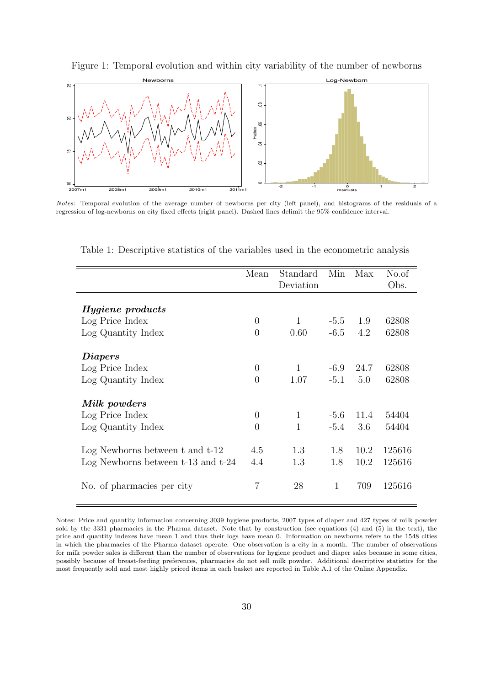

Figure 1: Temporal evolution and within city variability of the number of newborns

Notes: Temporal evolution of the average number of newborns per city (left panel), and histograms of the residuals of a regression of log-newborns on city fixed effects (right panel). Dashed lines delimit the 95% confidence interval.

|                                        | Mean           | Standard<br>Deviation | Min    | Max  | No.of<br>Obs. |
|----------------------------------------|----------------|-----------------------|--------|------|---------------|
|                                        |                |                       |        |      |               |
| <i>Hygiene</i> products                |                |                       |        |      |               |
| Log Price Index                        | $\theta$       | 1                     | $-5.5$ | 1.9  | 62808         |
| Log Quantity Index                     | $\overline{0}$ | 0.60                  | $-6.5$ | 4.2  | 62808         |
| <i>Diapers</i>                         |                |                       |        |      |               |
| Log Price Index                        | $\overline{0}$ | 1                     | $-6.9$ | 24.7 | 62808         |
| Log Quantity Index                     | $\theta$       | 1.07                  | $-5.1$ | 5.0  | 62808         |
| Milk powders                           |                |                       |        |      |               |
| Log Price Index                        | $\overline{0}$ | $\mathbf{1}$          | $-5.6$ | 11.4 | 54404         |
| Log Quantity Index                     | $\overline{0}$ | $\mathbf{1}$          | $-5.4$ | 3.6  | 54404         |
| Log Newborns between $t$ and $t-12$    | 4.5            | 1.3                   | 1.8    | 10.2 | 125616        |
| Log Newborns between $t-13$ and $t-24$ | 4.4            | 1.3                   | 1.8    | 10.2 | 125616        |
| No. of pharmacies per city             | 7              | 28                    | 1      | 709  | 125616        |

Table 1: Descriptive statistics of the variables used in the econometric analysis

Notes: Price and quantity information concerning 3039 hygiene products, 2007 types of diaper and 427 types of milk powder sold by the 3331 pharmacies in the Pharma dataset. Note that by construction (see equations (4) and (5) in the text), the price and quantity indexes have mean 1 and thus their logs have mean 0. Information on newborns refers to the 1548 cities in which the pharmacies of the Pharma dataset operate. One observation is a city in a month. The number of observations for milk powder sales is different than the number of observations for hygiene product and diaper sales because in some cities, possibly because of breast-feeding preferences, pharmacies do not sell milk powder. Additional descriptive statistics for the most frequently sold and most highly priced items in each basket are reported in Table A.1 of the Online Appendix.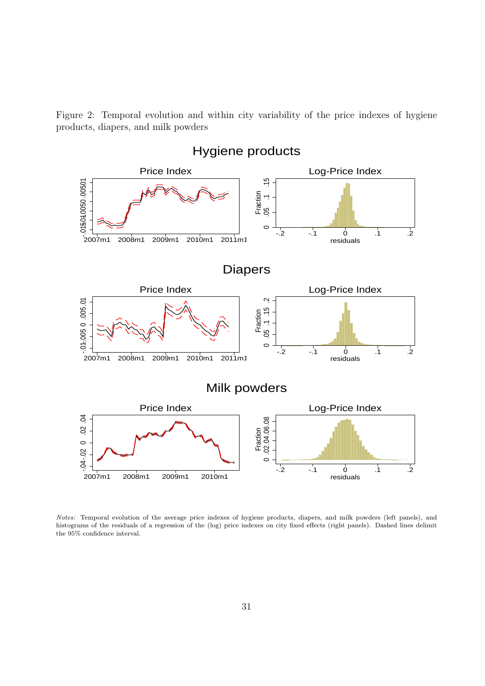Figure 2: Temporal evolution and within city variability of the price indexes of hygiene products, diapers, and milk powders



Notes: Temporal evolution of the average price indexes of hygiene products, diapers, and milk powders (left panels), and histograms of the residuals of a regression of the (log) price indexes on city fixed effects (right panels). Dashed lines delimit the 95% confidence interval.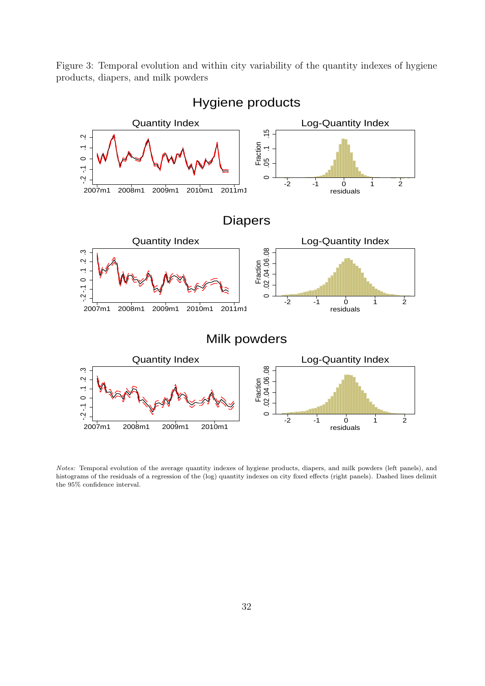Figure 3: Temporal evolution and within city variability of the quantity indexes of hygiene products, diapers, and milk powders



Hygiene products

Notes: Temporal evolution of the average quantity indexes of hygiene products, diapers, and milk powders (left panels), and histograms of the residuals of a regression of the (log) quantity indexes on city fixed effects (right panels). Dashed lines delimit the 95% confidence interval.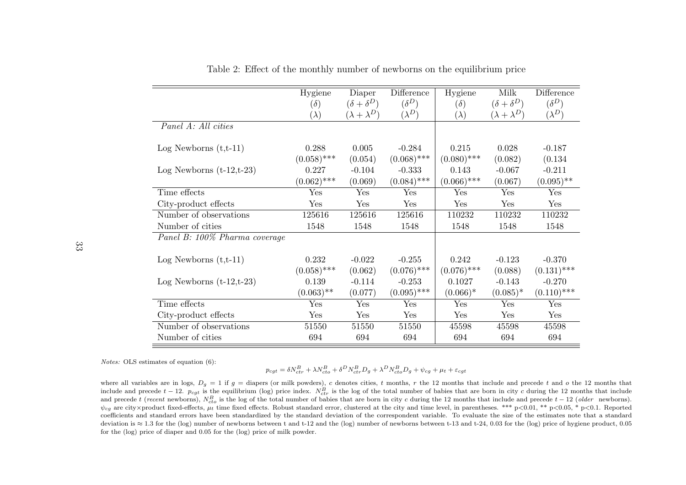|                               | Hygiene<br>$(\delta)$<br>$(\lambda)$ | Diaper<br>$(\delta + \delta^D)$<br>$(\lambda + \lambda^D)$ | Difference<br>$(\delta^D)$<br>$(\lambda^D)$ | Hygiene<br>$(\delta)$<br>$(\lambda)$ | Milk<br>$(\delta + \delta^D)$<br>$(\lambda + \lambda^D)$ | Difference<br>$(\delta^D)$<br>$(\lambda^D)$ |
|-------------------------------|--------------------------------------|------------------------------------------------------------|---------------------------------------------|--------------------------------------|----------------------------------------------------------|---------------------------------------------|
| Panel A: All cities           |                                      |                                                            |                                             |                                      |                                                          |                                             |
| Log Newborns $(t,t-11)$       | 0.288<br>$(0.058)$ ***               | 0.005<br>(0.054)                                           | $-0.284$<br>$(0.068)$ ***                   | 0.215<br>$(0.080)$ ***               | 0.028<br>(0.082)                                         | $-0.187$<br>(0.134)                         |
| Log Newborns $(t-12,t-23)$    | 0.227<br>$(0.062)$ ***               | $-0.104$<br>(0.069)                                        | $-0.333$<br>$(0.084)$ ***                   | 0.143<br>$(0.066)$ ***               | $-0.067$<br>(0.067)                                      | $-0.211$<br>$(0.095)$ **                    |
| Time effects                  | Yes                                  | Yes                                                        | Yes                                         | Yes                                  | Yes                                                      | Yes                                         |
| City-product effects          | Yes                                  | Yes                                                        | Yes                                         | Yes                                  | Yes                                                      | Yes                                         |
| Number of observations        | 125616                               | 125616                                                     | 125616                                      | 110232                               | 110232                                                   | 110232                                      |
| Number of cities              | 1548                                 | 1548                                                       | 1548                                        | 1548                                 | 1548                                                     | 1548                                        |
| Panel B: 100% Pharma coverage |                                      |                                                            |                                             |                                      |                                                          |                                             |
| Log Newborns $(t,t-11)$       | 0.232<br>$(0.058)$ ***               | $-0.022$<br>(0.062)                                        | $-0.255$<br>$(0.076)$ ***                   | 0.242<br>$(0.076)$ ***               | $-0.123$<br>(0.088)                                      | $-0.370$<br>$(0.131)$ ***                   |
| Log Newborns $(t-12,t-23)$    | 0.139                                | $-0.114$                                                   | $-0.253$                                    | 0.1027                               | $-0.143$                                                 | $-0.270$                                    |
|                               | $(0.063)$ **                         | (0.077)                                                    | $(0.095)$ ***                               | $(0.066)^*$                          | $(0.085)^*$                                              | $(0.110)$ ***                               |
| Time effects                  | Yes                                  | Yes                                                        | Yes                                         | Yes                                  | Yes                                                      | Yes                                         |
| City-product effects          | Yes                                  | Yes                                                        | Yes                                         | Yes                                  | Yes                                                      | Yes                                         |
| Number of observations        | 51550                                | 51550                                                      | 51550                                       | 45598                                | 45598                                                    | 45598                                       |
| Number of cities              | 694                                  | 694                                                        | 694                                         | 694                                  | 694                                                      | 694                                         |

Table 2: Effect of the monthly number of newborns on the equilibrium price

Notes: OLS estimates of equation (6):

$$
p_{cgt} = \delta N_{ctr}^B + \lambda N_{cto}^B + \delta^D N_{ctr}^B D_g + \lambda^D N_{cto}^B D_g + \psi_{cg} + \mu_t + \varepsilon_{cgt}
$$

where all variables are in logs,  $D_g = 1$  if  $g =$  diapers (or milk powders), c denotes cities, t months, r the 12 months that include and precede t and o the 12 months that include and precede t - 12.  $p_{cgt}$  is the equili and precede t (recent newborns),  $N_{cto}^B$  is the log of the total number of babies that are born in city c during the 12 months that include and precede t − 12 (older newborns).  $\psi_{cg}$  are city×product fixed-effects,  $\mu_t$  time fixed effects. Robust standard error, clustered at the city and time level, in parentheses. \*\*\* p<0.01, \*\* p<0.05, \* p<0.1. Reported coefficients and standard errors have been standardized by the standard deviation of the correspondent variable. To evaluate the size of the estimates note that <sup>a</sup> standarddeviation is ≈ 1.3 for the (log) number of newborns between t and t-12 and the (log) number of newborns between t-13 and t-24, 0.03 for the (log) price of hygiene product, 0.05 for the (log) price of diaper and <sup>0</sup>.<sup>05</sup> for the (log) price of milk powder.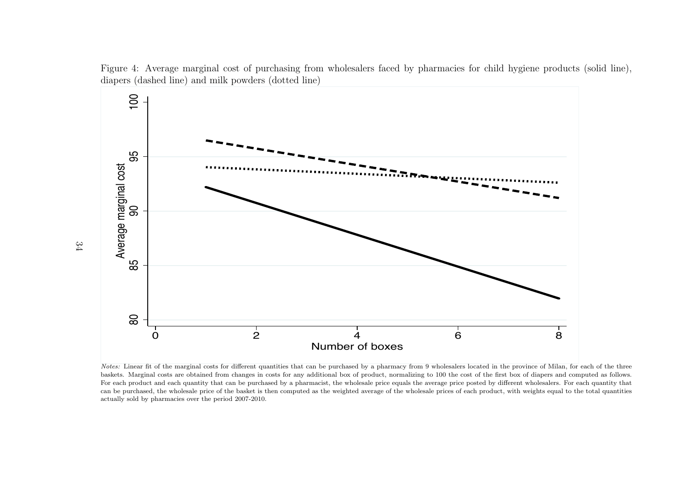

Figure 4: Average marginal cost of purchasing from wholesalers faced by pharmacies for child hygiene products (solid line), diapers (dashed line) and milk powders (dotted line)

Notes: Linear fit of the marginal costs for different quantities that can be purchased by a pharmacy from 9 wholesalers located in the province of Milan, for each of the three baskets. Marginal costs are obtained from changes in costs for any additional box of product, normalizing to 100 the cost of the first box of diapers and computed as follows. For each product and each quantity that can be purchased by <sup>a</sup> <sup>p</sup>harmacist, the wholesale price equals the average price posted by different wholesalers. For each quantity that can be purchased, the wholesale price of the basket is then computed as the weighted average of the wholesale prices of each product, with weights equal to the total quantitiesactually sold by pharmacies over the period 2007-2010.

34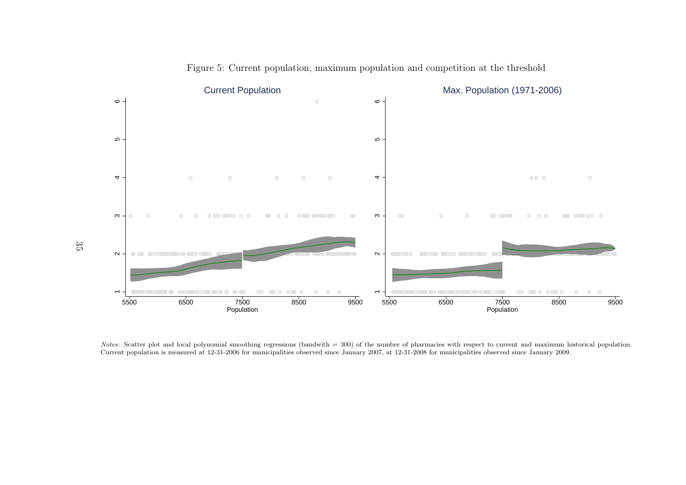

Figure 5: Current population, maximum population and competition at the threshold

Notes: Scatter plot and local polynomial smoothing regressions (bandwith = 300) of the number of pharmacies with respect to current and maximum historical population. Current population is measured at 12-31-2006 for municipalities observed since January 2007, at 12-31-2008 for municipalities observed since January 2009.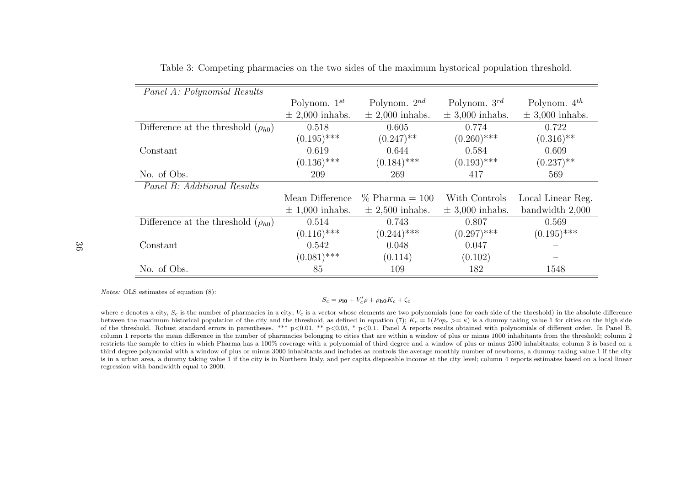| Panel A: Polynomial Results               |                     |                         |                     |                     |
|-------------------------------------------|---------------------|-------------------------|---------------------|---------------------|
|                                           | Polynom. $1^{st}$   | Polynom. $2^{nd}$       | Polynom. $3^{rd}$   | Polynom. $4^{th}$   |
|                                           | $\pm$ 2,000 inhabs. | $\pm$ 2,000 inhabs.     | $\pm$ 3,000 inhabs. | $\pm$ 3,000 inhabs. |
| Difference at the threshold $(\rho_{h0})$ | 0.518               | 0.605                   | 0.774               | 0.722               |
|                                           | $(0.195)$ ***       | $(0.247)$ <sup>**</sup> | $(0.260)$ ***       | $(0.316)$ **        |
| Constant                                  | 0.619               | 0.644                   | 0.584               | 0.609               |
|                                           | $(0.136)$ ***       | $(0.184)$ ***           | $(0.193)$ ***       | $(0.237)$ **        |
| No. of Obs.                               | 209                 | 269                     | 417                 | 569                 |
| Panel B: Additional Results               |                     |                         |                     |                     |
|                                           | Mean Difference     | $\%$ Pharma = 100       | With Controls       | Local Linear Reg.   |
|                                           | $\pm$ 1,000 inhabs. | $\pm$ 2,500 inhabs.     | $\pm$ 3,000 inhabs. | bandwidth 2,000     |
| Difference at the threshold $(\rho_{h0})$ | 0.514               | 0.743                   | 0.807               | 0.569               |
|                                           | $(0.116)$ ***       | $(0.244)$ ***           | $(0.297)$ ***       | $(0.195)$ ***       |
| Constant                                  | 0.542               | 0.048                   | 0.047               |                     |
|                                           | $(0.081)$ ***       | (0.114)                 | (0.102)             |                     |
| No. of Obs.                               | 85                  | 109                     | 182                 | 1548                |

Table 3: Competing <sup>p</sup>harmacies on the two sides of the maximum hystorical population threshold.

Notes: OLS estimates of equation (8):

#### $S_c = \rho_{10} + V_c' \rho + \rho_{h0} K_c + \zeta_c$

where c denotes a city,  $S_c$  is the number of pharmacies in a city;  $V_c$  is a vector whose elements are two polynomials (one for each side of the threshold) in the absolute difference between the maximum historical population of the city and the threshold, as defined in equation (7);  $K_c = 1(P \circ p_c \geq \kappa)$  is a dummy taking value 1 for cities on the high side of the threshold. Robust standard errors in parentheses. \*\*\*  $p<0.01$ , \*\*  $p<0.05$ , \*  $p<0.1$ . Panel A reports results obtained with polynomials of different order. In Panel B, column 1 reports the mean difference in the number of <sup>p</sup>harmacies belonging to cities that are within <sup>a</sup> window of <sup>p</sup>lus or minus 1000 inhabitants from the threshold; column 2 restricts the sample to cities in which Pharma has <sup>a</sup> 100% coverage with <sup>a</sup> polynomial of third degree and <sup>a</sup> window of <sup>p</sup>lus or minus 2500 inhabitants; column 3 is based on <sup>a</sup> third degree polynomial with <sup>a</sup> window of <sup>p</sup>lus or minus 3000 inhabitants and includes as controls the average monthly number of newborns, <sup>a</sup> dummy taking value 1 if the city is in <sup>a</sup> urban area, <sup>a</sup> dummy taking value 1 if the city is in Northern Italy, and per capita disposable income at the city level; column 4 reports estimates based on <sup>a</sup> local linearregression with bandwidth equal to 2000.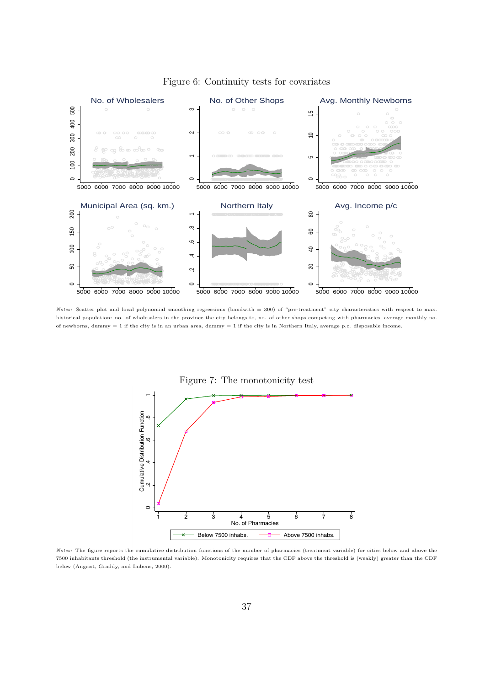

Figure 6: Continuity tests for covariates

Notes: Scatter plot and local polynomial smoothing regressions (bandwith = 300) of "pre-treatment" city characteristics with respect to max. historical population: no. of wholesalers in the province the city belongs to, no. of other shops competing with pharmacies, average monthly no. of newborns, dummy  $= 1$  if the city is in an urban area, dummy  $= 1$  if the city is in Northern Italy, average p.c. disposable income.







1 2 3 4 5 6 7 8 No. of Pharmacies Below 7500 inhabs.  $\overline{B}$  Above 7500 inhabs.

 $\circ$ 

Ŋ

 .2 .4 .6 .8 1 Cumulative Distribution Function

 $\circ$ 

 $\infty$ 

**Cumulative Distribution Function**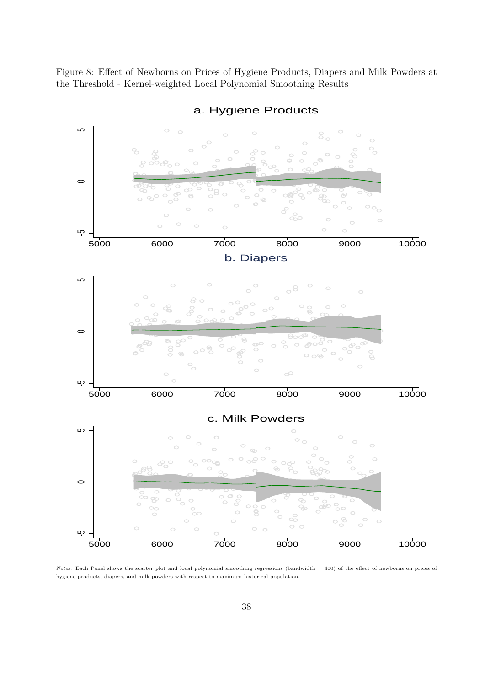Figure 8: Effect of Newborns on Prices of Hygiene Products, Diapers and Milk Powders at the Threshold - Kernel-weighted Local Polynomial Smoothing Results



a. Hygiene Products

Notes: Each Panel shows the scatter plot and local polynomial smoothing regressions (bandwidth = 400) of the effect of newborns on prices of hygiene products, diapers, and milk powders with respect to maximum historical population.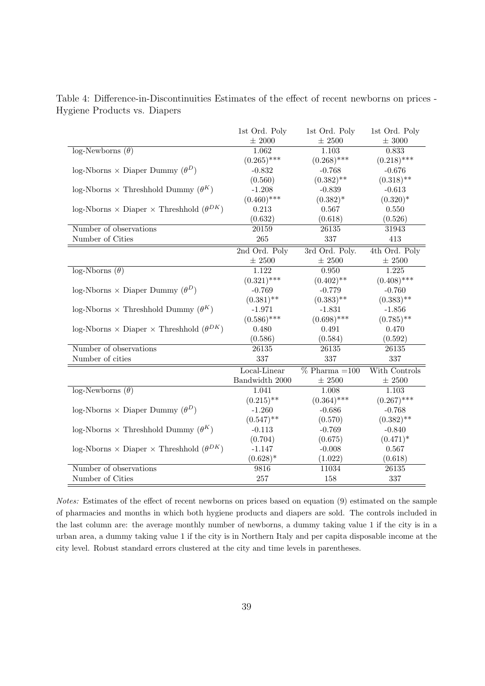|                                                           | 1st Ord. Poly  | 1st Ord. Poly    | 1st Ord. Poly |
|-----------------------------------------------------------|----------------|------------------|---------------|
|                                                           | $\pm$ 2000     | $\pm$ 2500       | $\pm$ 3000    |
| $log\text{-}Newborns (\theta)$                            | 1.062          | 1.103            | 0.833         |
|                                                           | $(0.265)$ ***  | $(0.268)$ ***    | $(0.218)$ *** |
| $log-Nborns \times Diaper Dummy (\theta^D)$               | $-0.832$       | $-0.768$         | $-0.676$      |
|                                                           | (0.560)        | $(0.382)$ **     | $(0.318)$ **  |
| $\log$ -Nborns $\times$ Threshhold Dummy $(\theta^K)$     | $-1.208$       | $-0.839$         | $-0.613$      |
|                                                           | $(0.460)$ ***  | $(0.382)^*$      | $(0.320)^*$   |
| $log-Nborns \times Diaper \times Threshold (\theta^{DK})$ | 0.213          | 0.567<br>0.550   |               |
|                                                           | (0.632)        | (0.618)          | (0.526)       |
| Number of observations                                    | 20159          | 26135            | 31943         |
| Number of Cities                                          | 265            | 337              | 413           |
|                                                           | 2nd Ord. Poly  | 3rd Ord. Poly.   | 4th Ord. Poly |
|                                                           | $\pm$ 2500     | $\pm$ 2500       | $\pm$ 2500    |
| $log-Nborns(\theta)$                                      | 1.122          | 0.950            | 1.225         |
|                                                           | $(0.321)$ ***  | $(0.402)$ **     | $(0.408)$ *** |
| $log-Nborns \times Diaper Dummy (\theta^D)$               | $-0.769$       | $-0.779$         | $-0.760$      |
|                                                           | $(0.381)$ **   | $(0.383)$ **     | $(0.383)$ **  |
| $\log$ -Nborns × Threshhold Dummy ( $\theta^K$ )          | $-1.971$       | $-1.831$         | $-1.856$      |
|                                                           | $(0.586)$ ***  | $(0.698)$ ***    | $(0.785)$ **  |
| log-Nborns × Diaper × Threshhold $(\theta^{DK})$          | 0.480          | 0.491            | 0.470         |
|                                                           | (0.586)        | (0.584)          | (0.592)       |
| Number of observations                                    | 26135          | 26135            | 26135         |
| Number of cities                                          | 337            | 337              | 337           |
|                                                           | Local-Linear   | $%$ Pharma = 100 | With Controls |
|                                                           | Bandwidth 2000 | $\pm$ 2500       | $\pm$ 2500    |
| $log\text{-}Newborns(\theta)$                             | 1.041          | 1.008            | 1.103         |
|                                                           | $(0.215)$ **   | $(0.364)$ ***    | $(0.267)$ *** |
| $log-Nborns \times Diaper Dummy (\theta^D)$               | $-1.260$       | $-0.686$         | $-0.768$      |
|                                                           | $(0.547)$ **   | (0.570)          | $(0.382)$ **  |
| $log-Nborns \times Threshold Dummy (\theta^K)$            | $-0.113$       | $-0.769$         | $-0.840$      |
|                                                           | (0.704)        | (0.675)          | $(0.471)^*$   |
| log-Nborns × Diaper × Threshhold $(\theta^{DK})$          | $-1.147$       | $-0.008$         | 0.567         |
|                                                           | $(0.628)^*$    | (1.022)          | (0.618)       |
| Number of observations                                    | 9816           | 11034            | 26135         |
| Number of Cities                                          | $257\,$        | 158              | 337           |

Table 4: Difference-in-Discontinuities Estimates of the effect of recent newborns on prices - Hygiene Products vs. Diapers

Notes: Estimates of the effect of recent newborns on prices based on equation (9) estimated on the sample of pharmacies and months in which both hygiene products and diapers are sold. The controls included in the last column are: the average monthly number of newborns, a dummy taking value 1 if the city is in a urban area, a dummy taking value 1 if the city is in Northern Italy and per capita disposable income at the city level. Robust standard errors clustered at the city and time levels in parentheses.